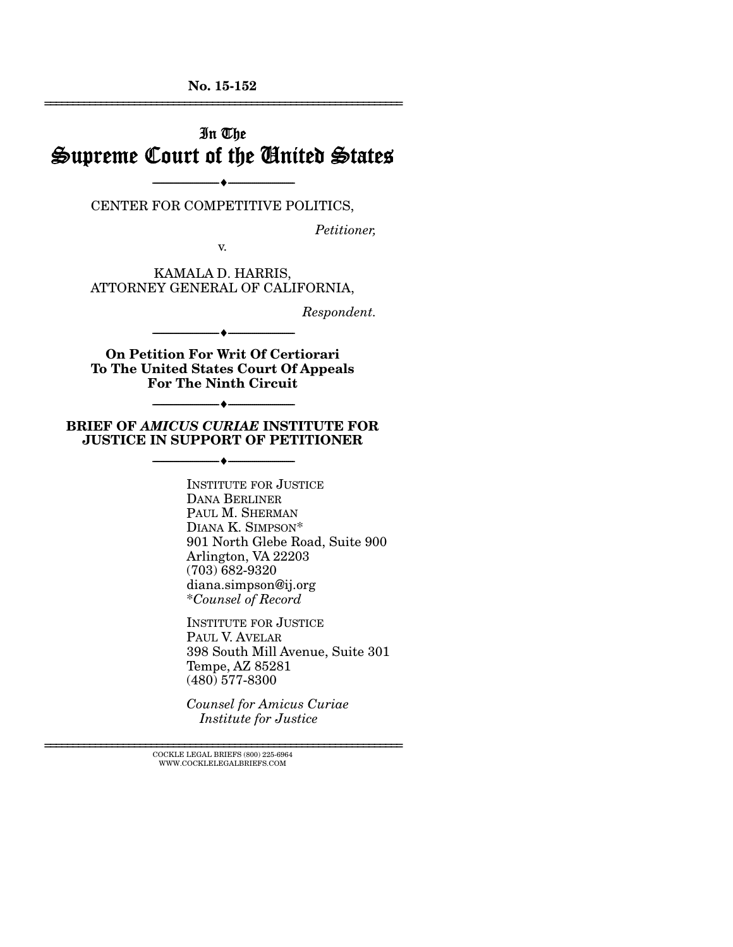**No. 15-152**  ================================================================

## In The Supreme Court of the United States

--------------------------------- --------------------------------- CENTER FOR COMPETITIVE POLITICS,

*Petitioner,* 

v.

KAMALA D. HARRIS, ATTORNEY GENERAL OF CALIFORNIA,

*Respondent.* 

**On Petition For Writ Of Certiorari To The United States Court Of Appeals For The Ninth Circuit** 

--------------------------------- ---------------------------------

**BRIEF OF** *AMICUS CURIAE* **INSTITUTE FOR JUSTICE IN SUPPORT OF PETITIONER** 

--------------------------------- ---------------------------------

INSTITUTE FOR JUSTICE DANA BERLINER PAUL M. SHERMAN DIANA K. SIMPSON\* 901 North Glebe Road, Suite 900 Arlington, VA 22203 (703) 682-9320 diana.simpson@ij.org \**Counsel of Record* 

INSTITUTE FOR JUSTICE PAUL V. AVELAR 398 South Mill Avenue, Suite 301 Tempe, AZ 85281 (480) 577-8300

*Counsel for Amicus Curiae Institute for Justice* 

 $\textsc{COCKLE}$  LEGAL BRIEFS (800) 225-6964 WWW.COCKLELEGALBRIEFS.COM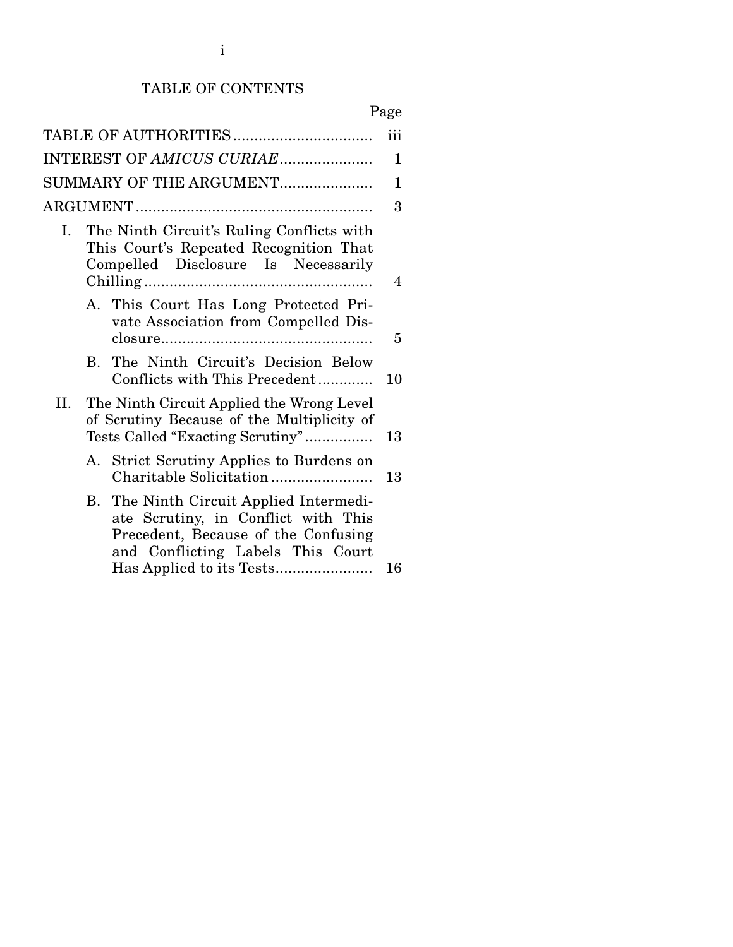# TABLE OF CONTENTS

| TABLE OF AUTHORITIES      |                                                                                                                             |                                                                                                                                                         | iii |
|---------------------------|-----------------------------------------------------------------------------------------------------------------------------|---------------------------------------------------------------------------------------------------------------------------------------------------------|-----|
| INTEREST OF AMICUS CURIAE |                                                                                                                             |                                                                                                                                                         | 1   |
|                           |                                                                                                                             | SUMMARY OF THE ARGUMENT                                                                                                                                 | 1   |
|                           |                                                                                                                             |                                                                                                                                                         | 3   |
| Ι.                        |                                                                                                                             | The Ninth Circuit's Ruling Conflicts with<br>This Court's Repeated Recognition That<br>Compelled Disclosure Is Necessarily                              | 4   |
|                           |                                                                                                                             | A. This Court Has Long Protected Pri-<br>vate Association from Compelled Dis-                                                                           | 5   |
|                           | $\bf{B}$                                                                                                                    | The Ninth Circuit's Decision Below<br>Conflicts with This Precedent                                                                                     | 10  |
| II.                       | The Ninth Circuit Applied the Wrong Level<br>of Scrutiny Because of the Multiplicity of<br>Tests Called "Exacting Scrutiny" |                                                                                                                                                         | 13  |
|                           | А.                                                                                                                          | Strict Scrutiny Applies to Burdens on                                                                                                                   | 13  |
|                           | В.                                                                                                                          | The Ninth Circuit Applied Intermedi-<br>ate Scrutiny, in Conflict with This<br>Precedent, Because of the Confusing<br>and Conflicting Labels This Court | 16  |
|                           |                                                                                                                             |                                                                                                                                                         |     |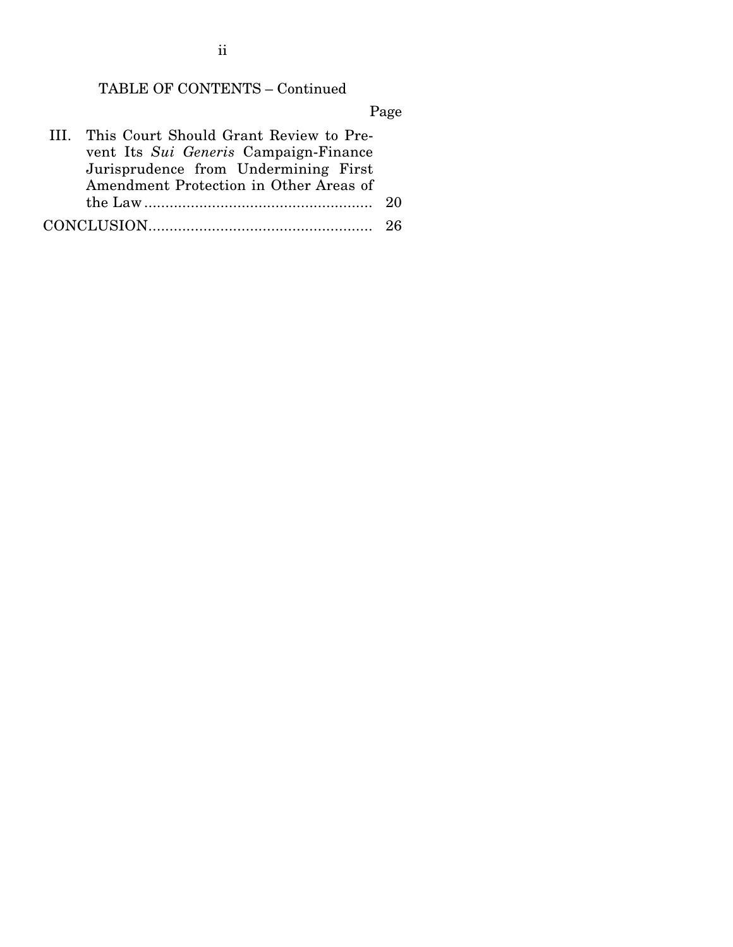## TABLE OF CONTENTS – Continued

| III. This Court Should Grant Review to Pre- |     |
|---------------------------------------------|-----|
| vent Its Sui Generis Campaign-Finance       |     |
| Jurisprudence from Undermining First        |     |
| Amendment Protection in Other Areas of      |     |
|                                             | -20 |
|                                             |     |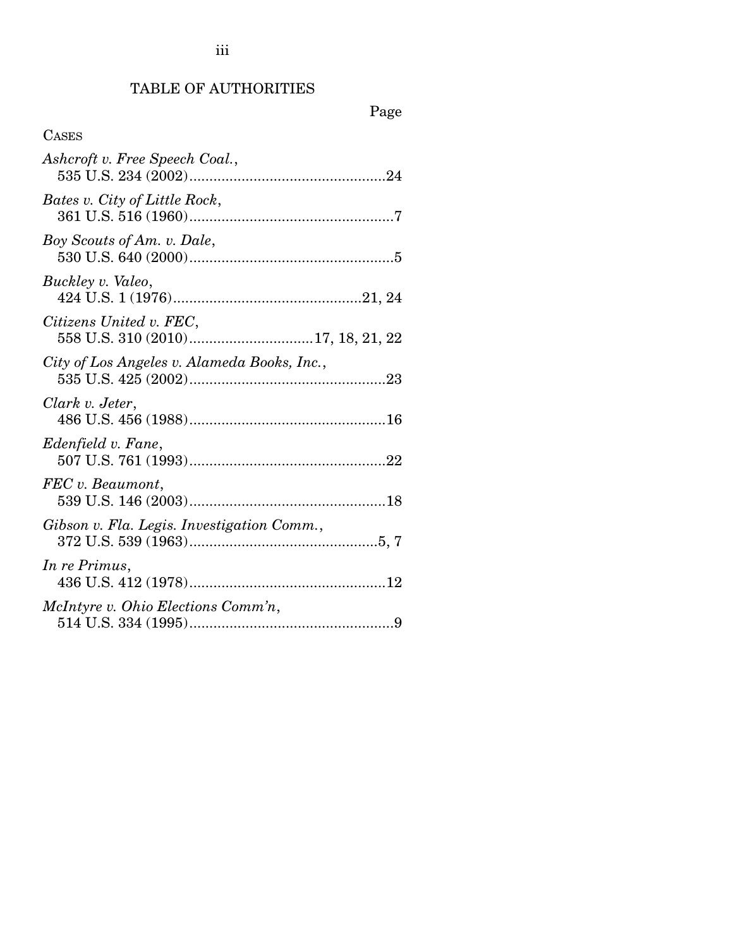iii

# TABLE OF AUTHORITIES

| <b>CASES</b>                                                 |
|--------------------------------------------------------------|
| Ashcroft v. Free Speech Coal.,                               |
| Bates v. City of Little Rock,                                |
| Boy Scouts of Am. v. Dale,                                   |
| Buckley v. Valeo,                                            |
| Citizens United v. FEC,<br>558 U.S. 310 (2010)17, 18, 21, 22 |
| City of Los Angeles v. Alameda Books, Inc.,                  |
| Clark v. Jeter,                                              |
| Edenfield v. Fane,                                           |
| FEC v. Beaumont,                                             |
| Gibson v. Fla. Legis. Investigation Comm.,                   |
| In re Primus,                                                |
| McIntyre v. Ohio Elections Comm'n,                           |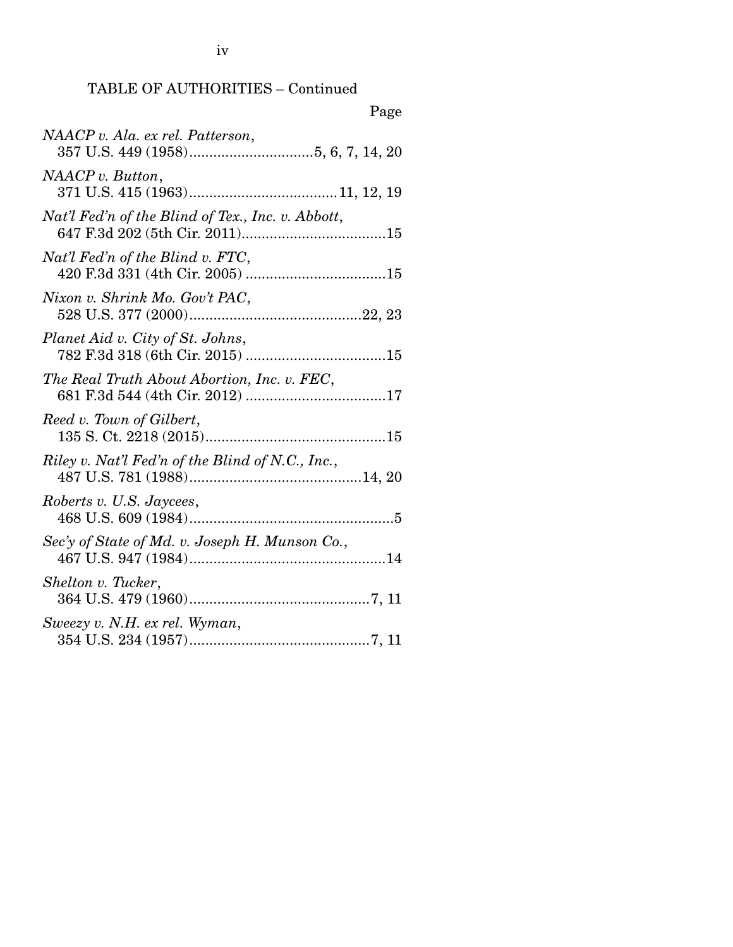iv

## TABLE OF AUTHORITIES – Continued

| Page                                              |
|---------------------------------------------------|
| NAACP v. Ala. ex rel. Patterson,                  |
| NAACP v. Button,                                  |
| Nat'l Fed'n of the Blind of Tex., Inc. v. Abbott, |
| Nat'l Fed'n of the Blind v. FTC,                  |
| Nixon v. Shrink Mo. Gov't PAC,                    |
| Planet Aid v. City of St. Johns,                  |
| The Real Truth About Abortion, Inc. v. FEC,       |
| Reed v. Town of Gilbert,                          |
| Riley v. Nat'l Fed'n of the Blind of N.C., Inc.,  |
| Roberts v. U.S. Jaycees,                          |
| Sec'y of State of Md. v. Joseph H. Munson Co.,    |
| Shelton v. Tucker,                                |
| Sweezy v. N.H. ex rel. Wyman,                     |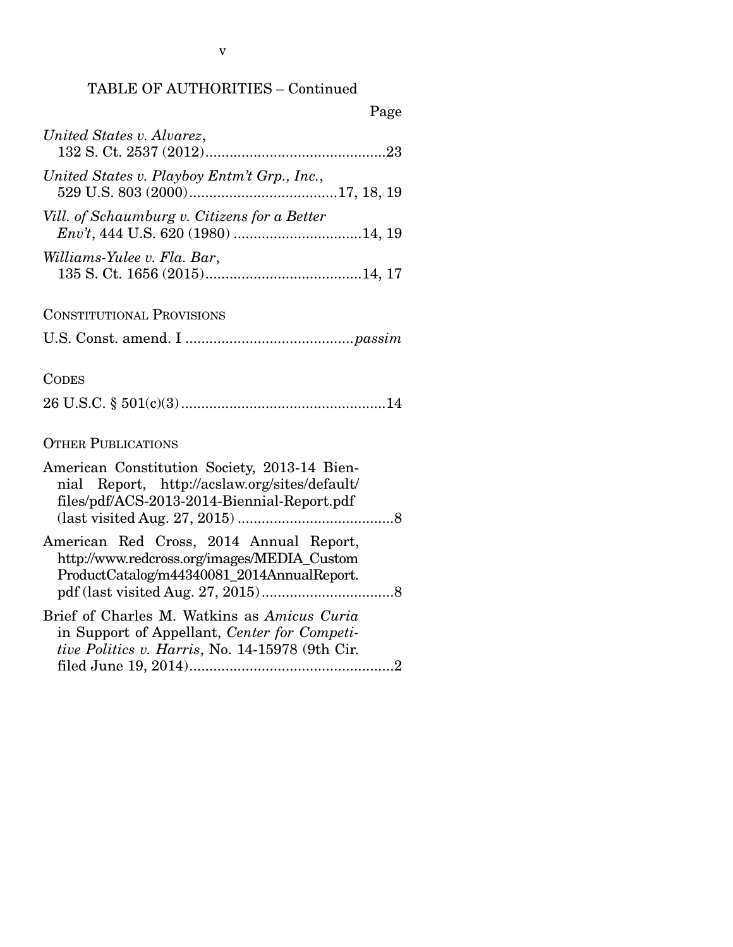## TABLE OF AUTHORITIES – Continued

| United States v. Alvarez,                                                                                                                      |
|------------------------------------------------------------------------------------------------------------------------------------------------|
| United States v. Playboy Entm't Grp., Inc.,                                                                                                    |
| Vill. of Schaumburg v. Citizens for a Better                                                                                                   |
| Williams-Yulee v. Fla. Bar,                                                                                                                    |
| <b>CONSTITUTIONAL PROVISIONS</b>                                                                                                               |
|                                                                                                                                                |
| <b>CODES</b>                                                                                                                                   |
|                                                                                                                                                |
| <b>OTHER PUBLICATIONS</b>                                                                                                                      |
| American Constitution Society, 2013-14 Bien-<br>nial Report, http://acslaw.org/sites/default/<br>files/pdf/ACS-2013-2014-Biennial-Report.pdf   |
| American Red Cross, 2014 Annual Report,<br>http://www.redcross.org/images/MEDIA_Custom<br>ProductCatalog/m44340081_2014AnnualReport.           |
| Brief of Charles M. Watkins as Amicus Curia<br>in Support of Appellant, Center for Competi-<br>tive Politics v. Harris, No. 14-15978 (9th Cir. |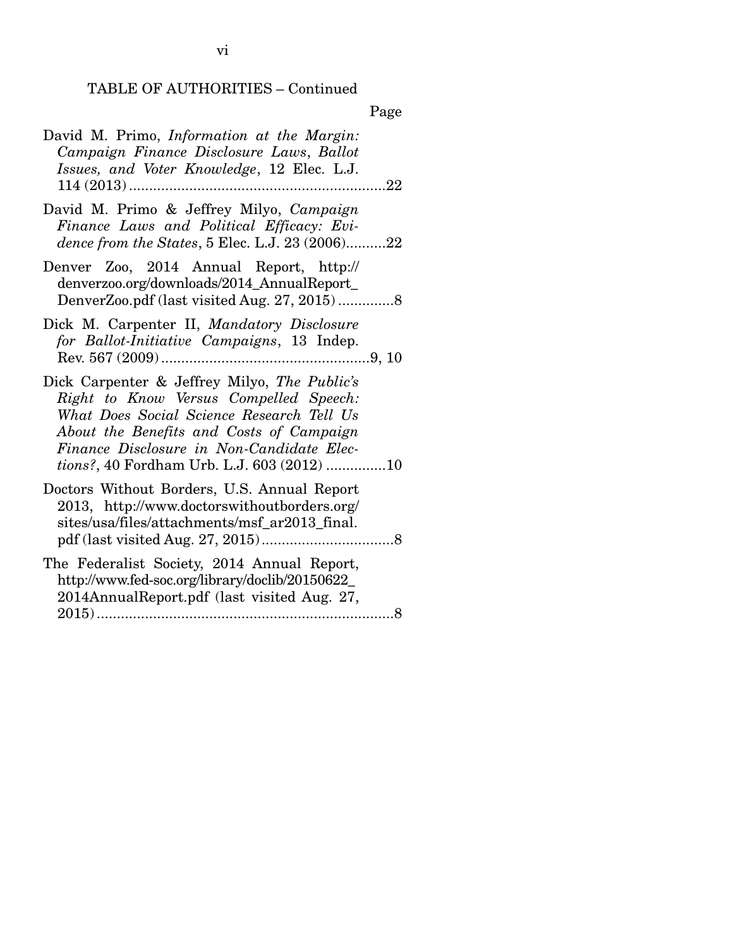# TABLE OF AUTHORITIES – Continued

|--|

| David M. Primo, <i>Information at the Margin</i> :<br>Campaign Finance Disclosure Laws, Ballot<br>Issues, and Voter Knowledge, 12 Elec. L.J.                                                                                                                               |
|----------------------------------------------------------------------------------------------------------------------------------------------------------------------------------------------------------------------------------------------------------------------------|
| David M. Primo & Jeffrey Milyo, Campaign<br>Finance Laws and Political Efficacy: Evi-<br>dence from the States, 5 Elec. L.J. 23 (2006)22                                                                                                                                   |
| Denver Zoo, 2014 Annual Report, http://<br>denverzoo.org/downloads/2014_AnnualReport_                                                                                                                                                                                      |
| Dick M. Carpenter II, Mandatory Disclosure<br>for Ballot-Initiative Campaigns, 13 Indep.                                                                                                                                                                                   |
| Dick Carpenter & Jeffrey Milyo, The Public's<br>Right to Know Versus Compelled Speech:<br>What Does Social Science Research Tell Us<br>About the Benefits and Costs of Campaign<br>Finance Disclosure in Non-Candidate Elec-<br>tions?, 40 Fordham Urb. L.J. 603 (2012) 10 |
| Doctors Without Borders, U.S. Annual Report<br>2013, http://www.doctorswithoutborders.org/<br>sites/usa/files/attachments/msf_ar2013_final.                                                                                                                                |
| The Federalist Society, 2014 Annual Report,<br>http://www.fed-soc.org/library/doclib/20150622_<br>2014AnnualReport.pdf (last visited Aug. 27,                                                                                                                              |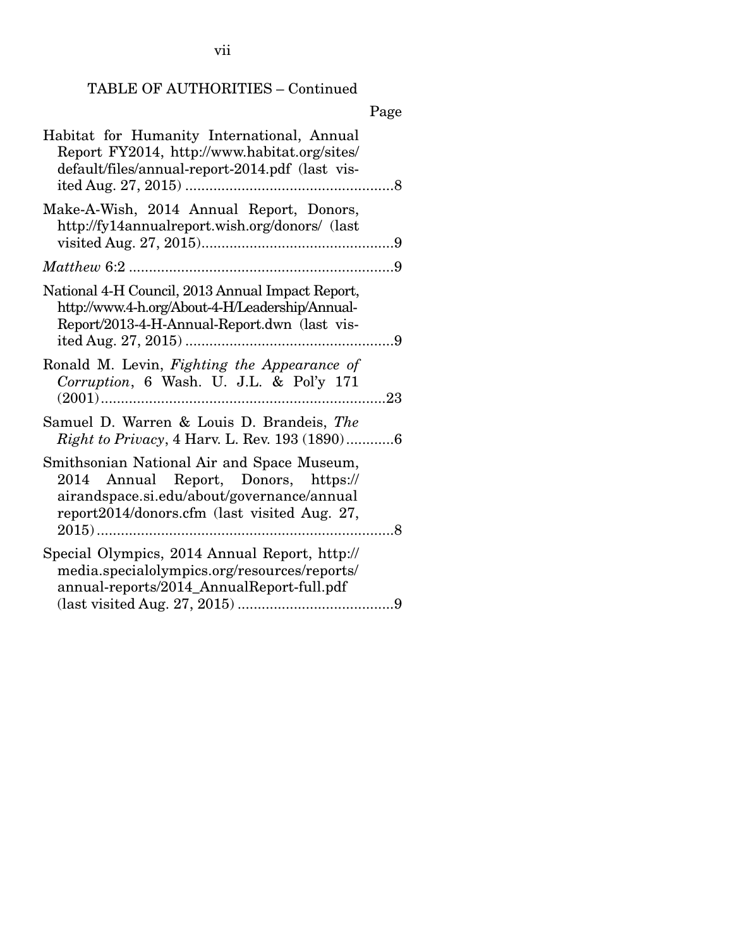TABLE OF AUTHORITIES – Continued

| Habitat for Humanity International, Annual<br>Report FY2014, http://www.habitat.org/sites/<br>default/files/annual-report-2014.pdf (last vis-                                    |  |
|----------------------------------------------------------------------------------------------------------------------------------------------------------------------------------|--|
| Make-A-Wish, 2014 Annual Report, Donors,<br>http://fy14annualreport.wish.org/donors/ (last                                                                                       |  |
|                                                                                                                                                                                  |  |
| National 4-H Council, 2013 Annual Impact Report,<br>http://www.4-h.org/About-4-H/Leadership/Annual-<br>Report/2013-4-H-Annual-Report.dwn (last vis-                              |  |
| Ronald M. Levin, Fighting the Appearance of<br>Corruption, 6 Wash. U. J.L. & Pol'y 171                                                                                           |  |
| Samuel D. Warren & Louis D. Brandeis, The<br><i>Right to Privacy</i> , 4 Harv. L. Rev. 193 (1890)6                                                                               |  |
| Smithsonian National Air and Space Museum,<br>2014 Annual Report, Donors, https://<br>airandspace.si.edu/about/governance/annual<br>report2014/donors.cfm (last visited Aug. 27, |  |
| Special Olympics, 2014 Annual Report, http://<br>media.specialolympics.org/resources/reports/<br>annual-reports/2014_AnnualReport-full.pdf                                       |  |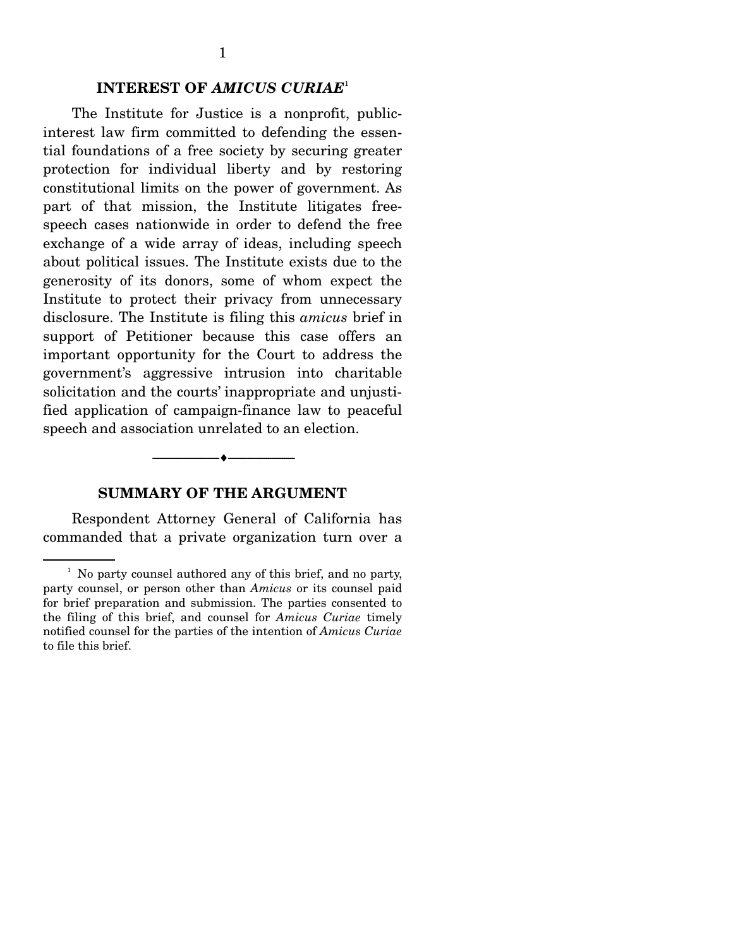### **INTEREST OF** *AMICUS CURIAE*<sup>1</sup>

 The Institute for Justice is a nonprofit, publicinterest law firm committed to defending the essential foundations of a free society by securing greater protection for individual liberty and by restoring constitutional limits on the power of government. As part of that mission, the Institute litigates freespeech cases nationwide in order to defend the free exchange of a wide array of ideas, including speech about political issues. The Institute exists due to the generosity of its donors, some of whom expect the Institute to protect their privacy from unnecessary disclosure. The Institute is filing this *amicus* brief in support of Petitioner because this case offers an important opportunity for the Court to address the government's aggressive intrusion into charitable solicitation and the courts' inappropriate and unjustified application of campaign-finance law to peaceful speech and association unrelated to an election.

#### **SUMMARY OF THE ARGUMENT**

--------------------------------- ---------------------------------

 Respondent Attorney General of California has commanded that a private organization turn over a

<sup>&</sup>lt;sup>1</sup> No party counsel authored any of this brief, and no party, party counsel, or person other than *Amicus* or its counsel paid for brief preparation and submission. The parties consented to the filing of this brief, and counsel for *Amicus Curiae* timely notified counsel for the parties of the intention of *Amicus Curiae* to file this brief.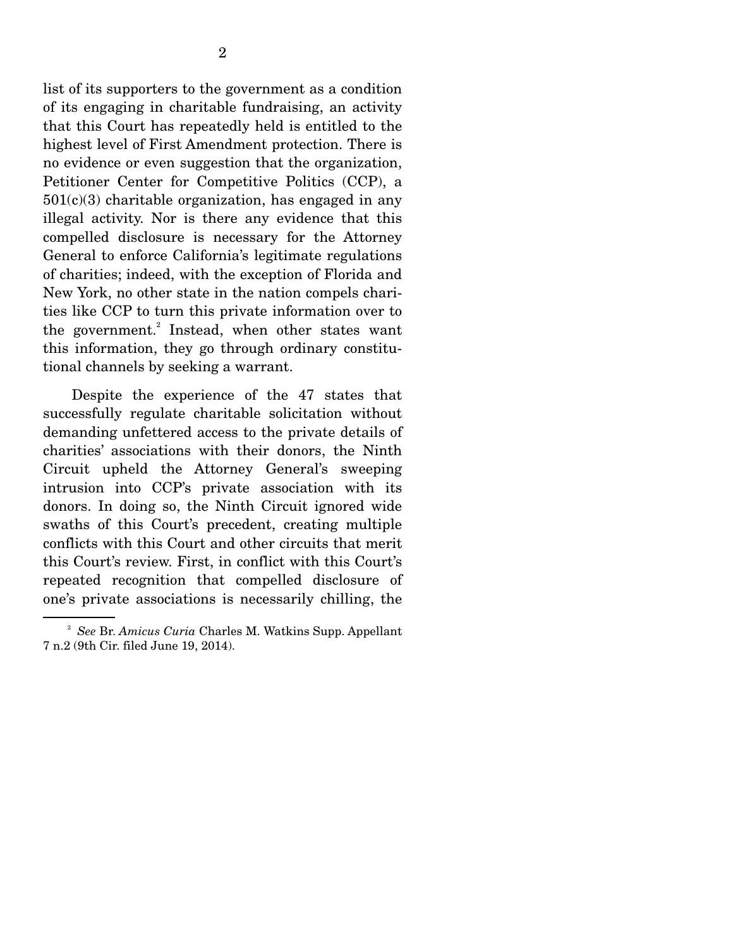list of its supporters to the government as a condition of its engaging in charitable fundraising, an activity that this Court has repeatedly held is entitled to the highest level of First Amendment protection. There is no evidence or even suggestion that the organization, Petitioner Center for Competitive Politics (CCP), a  $501(c)(3)$  charitable organization, has engaged in any illegal activity. Nor is there any evidence that this compelled disclosure is necessary for the Attorney General to enforce California's legitimate regulations of charities; indeed, with the exception of Florida and New York, no other state in the nation compels charities like CCP to turn this private information over to the government.<sup>2</sup> Instead, when other states want this information, they go through ordinary constitutional channels by seeking a warrant.

 Despite the experience of the 47 states that successfully regulate charitable solicitation without demanding unfettered access to the private details of charities' associations with their donors, the Ninth Circuit upheld the Attorney General's sweeping intrusion into CCP's private association with its donors. In doing so, the Ninth Circuit ignored wide swaths of this Court's precedent, creating multiple conflicts with this Court and other circuits that merit this Court's review. First, in conflict with this Court's repeated recognition that compelled disclosure of one's private associations is necessarily chilling, the

<sup>2</sup> *See* Br. *Amicus Curia* Charles M. Watkins Supp. Appellant 7 n.2 (9th Cir. filed June 19, 2014).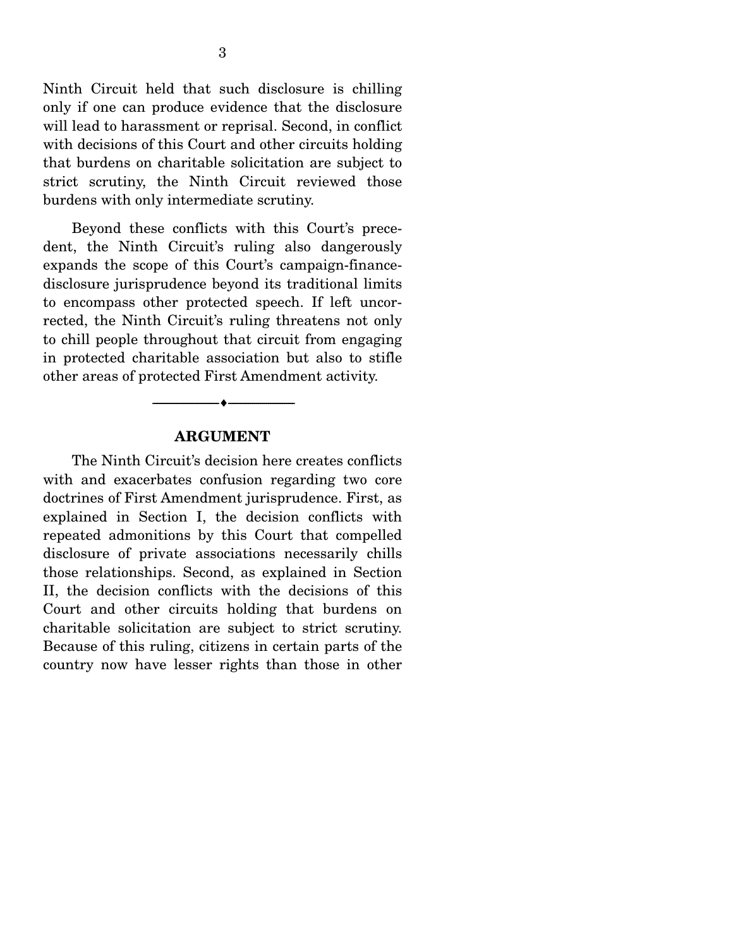Ninth Circuit held that such disclosure is chilling only if one can produce evidence that the disclosure will lead to harassment or reprisal. Second, in conflict with decisions of this Court and other circuits holding that burdens on charitable solicitation are subject to strict scrutiny, the Ninth Circuit reviewed those burdens with only intermediate scrutiny.

 Beyond these conflicts with this Court's precedent, the Ninth Circuit's ruling also dangerously expands the scope of this Court's campaign-financedisclosure jurisprudence beyond its traditional limits to encompass other protected speech. If left uncorrected, the Ninth Circuit's ruling threatens not only to chill people throughout that circuit from engaging in protected charitable association but also to stifle other areas of protected First Amendment activity.

#### **ARGUMENT**

--------------------------------- ---------------------------------

 The Ninth Circuit's decision here creates conflicts with and exacerbates confusion regarding two core doctrines of First Amendment jurisprudence. First, as explained in Section I, the decision conflicts with repeated admonitions by this Court that compelled disclosure of private associations necessarily chills those relationships. Second, as explained in Section II, the decision conflicts with the decisions of this Court and other circuits holding that burdens on charitable solicitation are subject to strict scrutiny. Because of this ruling, citizens in certain parts of the country now have lesser rights than those in other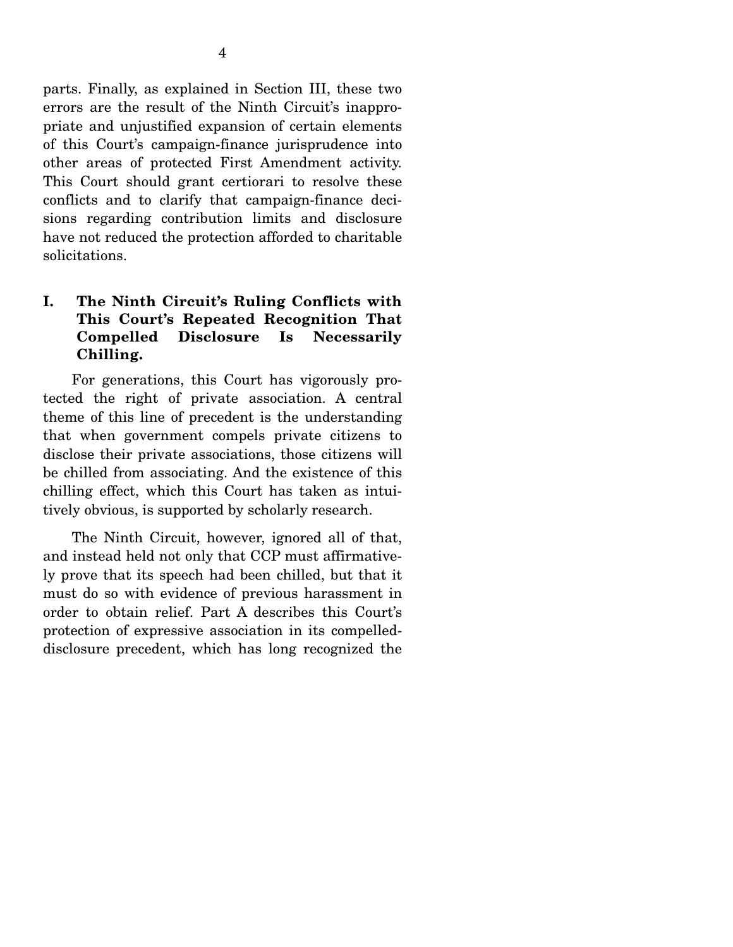parts. Finally, as explained in Section III, these two errors are the result of the Ninth Circuit's inappropriate and unjustified expansion of certain elements of this Court's campaign-finance jurisprudence into other areas of protected First Amendment activity. This Court should grant certiorari to resolve these conflicts and to clarify that campaign-finance decisions regarding contribution limits and disclosure have not reduced the protection afforded to charitable solicitations.

## **I. The Ninth Circuit's Ruling Conflicts with This Court's Repeated Recognition That Compelled Disclosure Is Necessarily Chilling.**

 For generations, this Court has vigorously protected the right of private association. A central theme of this line of precedent is the understanding that when government compels private citizens to disclose their private associations, those citizens will be chilled from associating. And the existence of this chilling effect, which this Court has taken as intuitively obvious, is supported by scholarly research.

 The Ninth Circuit, however, ignored all of that, and instead held not only that CCP must affirmatively prove that its speech had been chilled, but that it must do so with evidence of previous harassment in order to obtain relief. Part A describes this Court's protection of expressive association in its compelleddisclosure precedent, which has long recognized the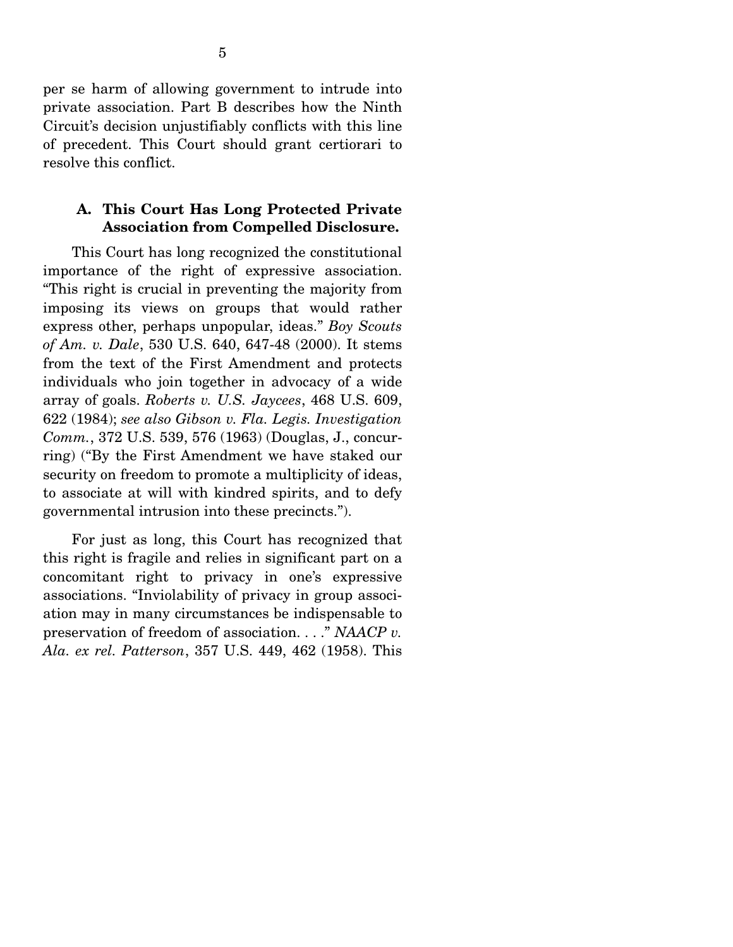per se harm of allowing government to intrude into private association. Part B describes how the Ninth Circuit's decision unjustifiably conflicts with this line of precedent. This Court should grant certiorari to resolve this conflict.

### **A. This Court Has Long Protected Private Association from Compelled Disclosure.**

 This Court has long recognized the constitutional importance of the right of expressive association. "This right is crucial in preventing the majority from imposing its views on groups that would rather express other, perhaps unpopular, ideas." *Boy Scouts of Am. v. Dale*, 530 U.S. 640, 647-48 (2000). It stems from the text of the First Amendment and protects individuals who join together in advocacy of a wide array of goals. *Roberts v. U.S. Jaycees*, 468 U.S. 609, 622 (1984); *see also Gibson v. Fla. Legis. Investigation Comm.*, 372 U.S. 539, 576 (1963) (Douglas, J., concurring) ("By the First Amendment we have staked our security on freedom to promote a multiplicity of ideas, to associate at will with kindred spirits, and to defy governmental intrusion into these precincts.").

 For just as long, this Court has recognized that this right is fragile and relies in significant part on a concomitant right to privacy in one's expressive associations. "Inviolability of privacy in group association may in many circumstances be indispensable to preservation of freedom of association. . . ." *NAACP v. Ala. ex rel. Patterson*, 357 U.S. 449, 462 (1958). This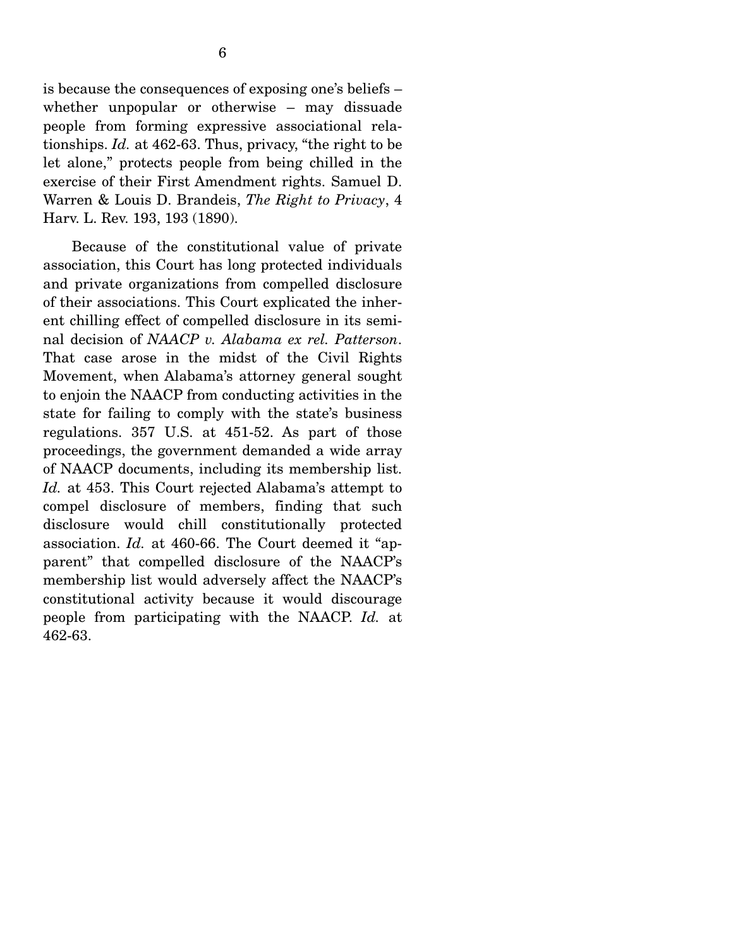is because the consequences of exposing one's beliefs – whether unpopular or otherwise – may dissuade people from forming expressive associational relationships. *Id.* at 462-63. Thus, privacy, "the right to be let alone," protects people from being chilled in the exercise of their First Amendment rights. Samuel D. Warren & Louis D. Brandeis, *The Right to Privacy*, 4 Harv. L. Rev. 193, 193 (1890).

 Because of the constitutional value of private association, this Court has long protected individuals and private organizations from compelled disclosure of their associations. This Court explicated the inherent chilling effect of compelled disclosure in its seminal decision of *NAACP v. Alabama ex rel. Patterson*. That case arose in the midst of the Civil Rights Movement, when Alabama's attorney general sought to enjoin the NAACP from conducting activities in the state for failing to comply with the state's business regulations. 357 U.S. at 451-52. As part of those proceedings, the government demanded a wide array of NAACP documents, including its membership list. *Id.* at 453. This Court rejected Alabama's attempt to compel disclosure of members, finding that such disclosure would chill constitutionally protected association. *Id.* at 460-66. The Court deemed it "apparent" that compelled disclosure of the NAACP's membership list would adversely affect the NAACP's constitutional activity because it would discourage people from participating with the NAACP. *Id.* at 462-63.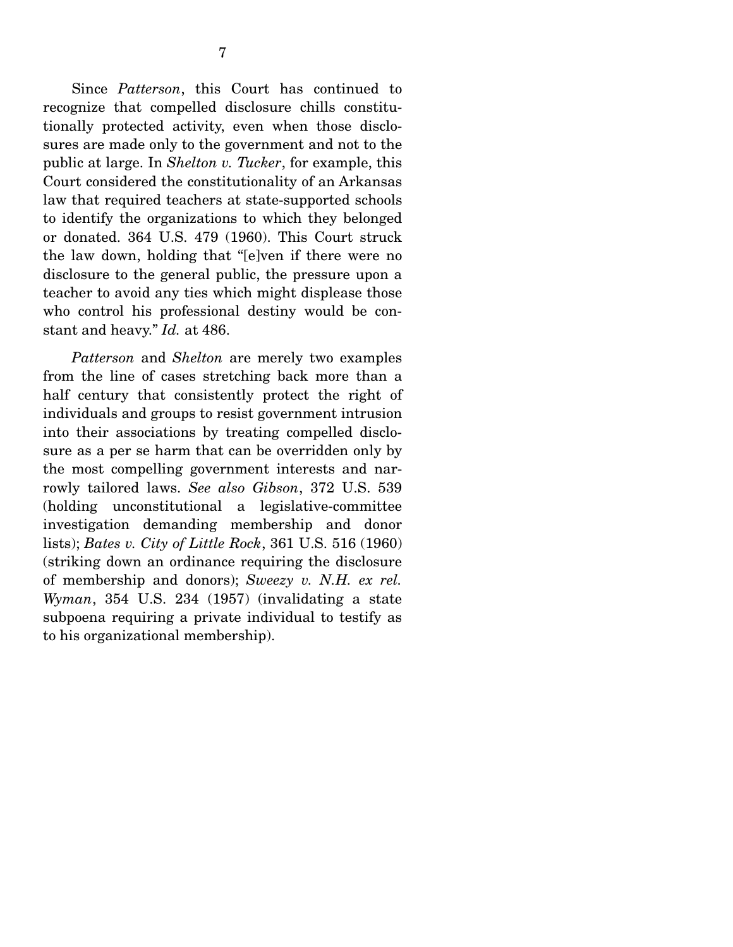Since *Patterson*, this Court has continued to recognize that compelled disclosure chills constitutionally protected activity, even when those disclosures are made only to the government and not to the public at large. In *Shelton v. Tucker*, for example, this Court considered the constitutionality of an Arkansas law that required teachers at state-supported schools to identify the organizations to which they belonged or donated. 364 U.S. 479 (1960). This Court struck the law down, holding that "[e]ven if there were no disclosure to the general public, the pressure upon a teacher to avoid any ties which might displease those who control his professional destiny would be constant and heavy." *Id.* at 486.

*Patterson* and *Shelton* are merely two examples from the line of cases stretching back more than a half century that consistently protect the right of individuals and groups to resist government intrusion into their associations by treating compelled disclosure as a per se harm that can be overridden only by the most compelling government interests and narrowly tailored laws. *See also Gibson*, 372 U.S. 539 (holding unconstitutional a legislative-committee investigation demanding membership and donor lists); *Bates v. City of Little Rock*, 361 U.S. 516 (1960) (striking down an ordinance requiring the disclosure of membership and donors); *Sweezy v. N.H. ex rel. Wyman*, 354 U.S. 234 (1957) (invalidating a state subpoena requiring a private individual to testify as to his organizational membership).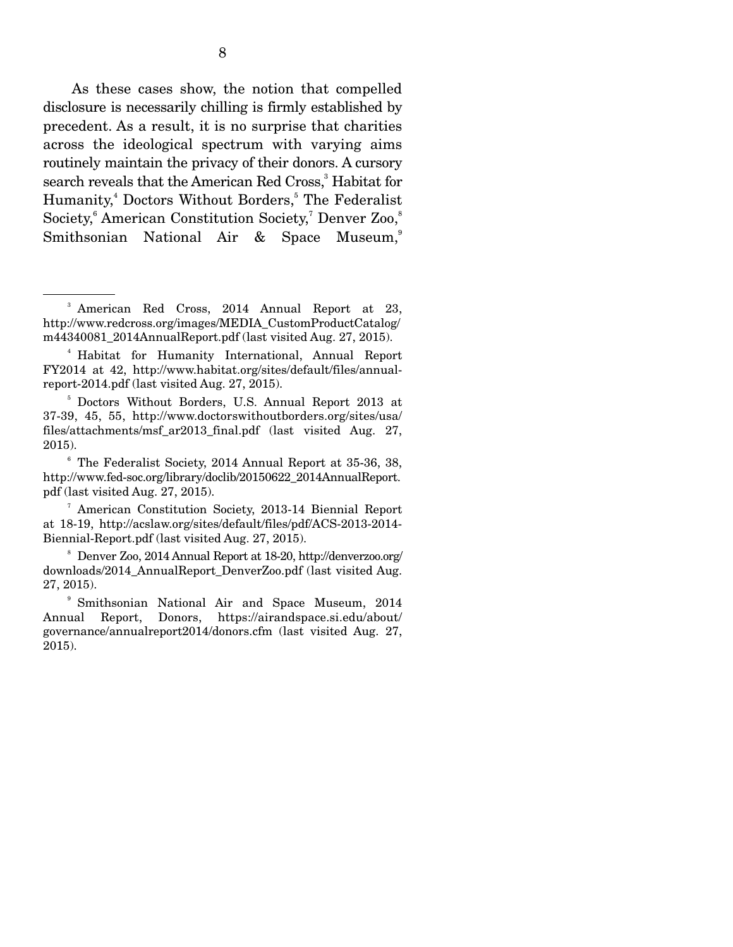As these cases show, the notion that compelled disclosure is necessarily chilling is firmly established by precedent. As a result, it is no surprise that charities across the ideological spectrum with varying aims routinely maintain the privacy of their donors. A cursory search reveals that the American Red Cross,<sup>3</sup> Habitat for Humanity,<sup>4</sup> Doctors Without Borders,<sup>5</sup> The Federalist Society,<sup>6</sup> American Constitution Society,<sup>7</sup> Denver Zoo,<sup>8</sup> Smithsonian National Air & Space Museum,<sup>9</sup>

<sup>3</sup> American Red Cross, 2014 Annual Report at 23, http://www.redcross.org/images/MEDIA\_CustomProductCatalog/ m44340081\_2014AnnualReport.pdf (last visited Aug. 27, 2015).

<sup>4</sup> Habitat for Humanity International, Annual Report FY2014 at 42, http://www.habitat.org/sites/default/files/annualreport-2014.pdf (last visited Aug. 27, 2015).

<sup>5</sup> Doctors Without Borders, U.S. Annual Report 2013 at 37-39, 45, 55, http://www.doctorswithoutborders.org/sites/usa/ files/attachments/msf\_ar2013\_final.pdf (last visited Aug. 27, 2015).

<sup>6</sup> The Federalist Society, 2014 Annual Report at 35-36, 38, http://www.fed-soc.org/library/doclib/20150622\_2014AnnualReport. pdf (last visited Aug. 27, 2015).

<sup>7</sup> American Constitution Society, 2013-14 Biennial Report at 18-19, http://acslaw.org/sites/default/files/pdf/ACS-2013-2014- Biennial-Report.pdf (last visited Aug. 27, 2015).

<sup>8</sup> Denver Zoo, 2014 Annual Report at 18-20, http://denverzoo.org/ downloads/2014\_AnnualReport\_DenverZoo.pdf (last visited Aug. 27, 2015).

<sup>9</sup> Smithsonian National Air and Space Museum, 2014 Annual Report, Donors, https://airandspace.si.edu/about/ governance/annualreport2014/donors.cfm (last visited Aug. 27, 2015).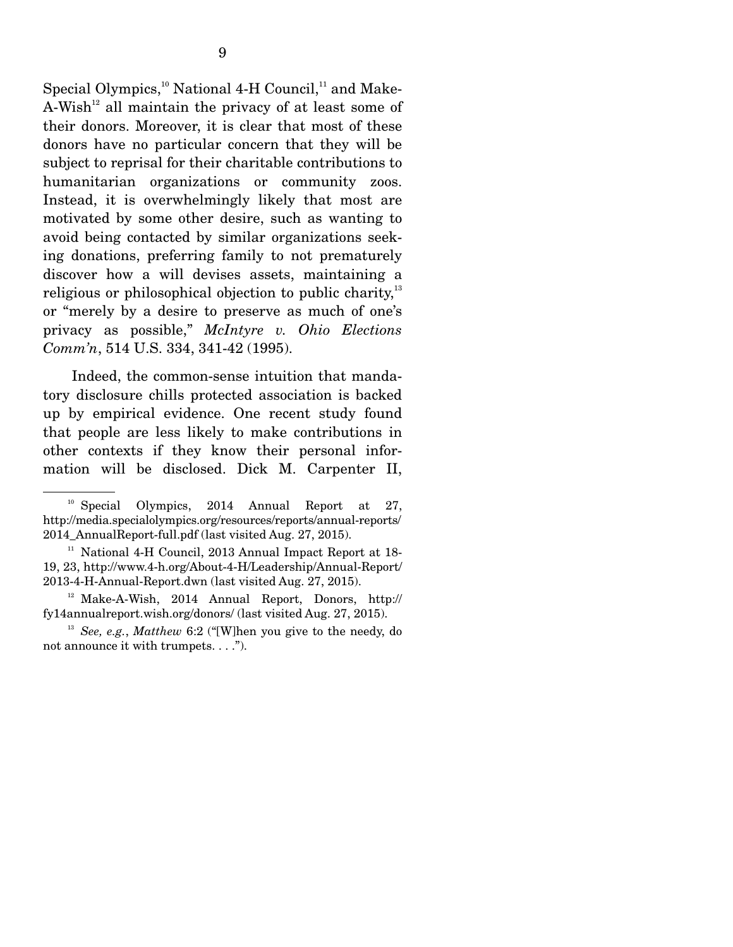Special Olympics, $10^1$  National 4-H Council, $11$  and Make- $A-Wish<sup>12</sup>$  all maintain the privacy of at least some of their donors. Moreover, it is clear that most of these donors have no particular concern that they will be subject to reprisal for their charitable contributions to humanitarian organizations or community zoos. Instead, it is overwhelmingly likely that most are motivated by some other desire, such as wanting to avoid being contacted by similar organizations seeking donations, preferring family to not prematurely discover how a will devises assets, maintaining a religious or philosophical objection to public charity, $^{13}$ or "merely by a desire to preserve as much of one's privacy as possible," *McIntyre v. Ohio Elections Comm'n*, 514 U.S. 334, 341-42 (1995).

 Indeed, the common-sense intuition that mandatory disclosure chills protected association is backed up by empirical evidence. One recent study found that people are less likely to make contributions in other contexts if they know their personal information will be disclosed. Dick M. Carpenter II,

 $10$  Special Olympics, 2014 Annual Report at 27, http://media.specialolympics.org/resources/reports/annual-reports/ 2014 AnnualReport-full.pdf (last visited Aug. 27, 2015).

 $11$  National 4-H Council, 2013 Annual Impact Report at 18-19, 23, http://www.4-h.org/About-4-H/Leadership/Annual-Report/ 2013-4-H-Annual-Report.dwn (last visited Aug. 27, 2015).

 $12$  Make-A-Wish, 2014 Annual Report, Donors, http:// fy14annualreport.wish.org/donors/ (last visited Aug. 27, 2015).

<sup>13</sup> *See, e.g.*, *Matthew* 6:2 ("[W]hen you give to the needy, do not announce it with trumpets. . . .").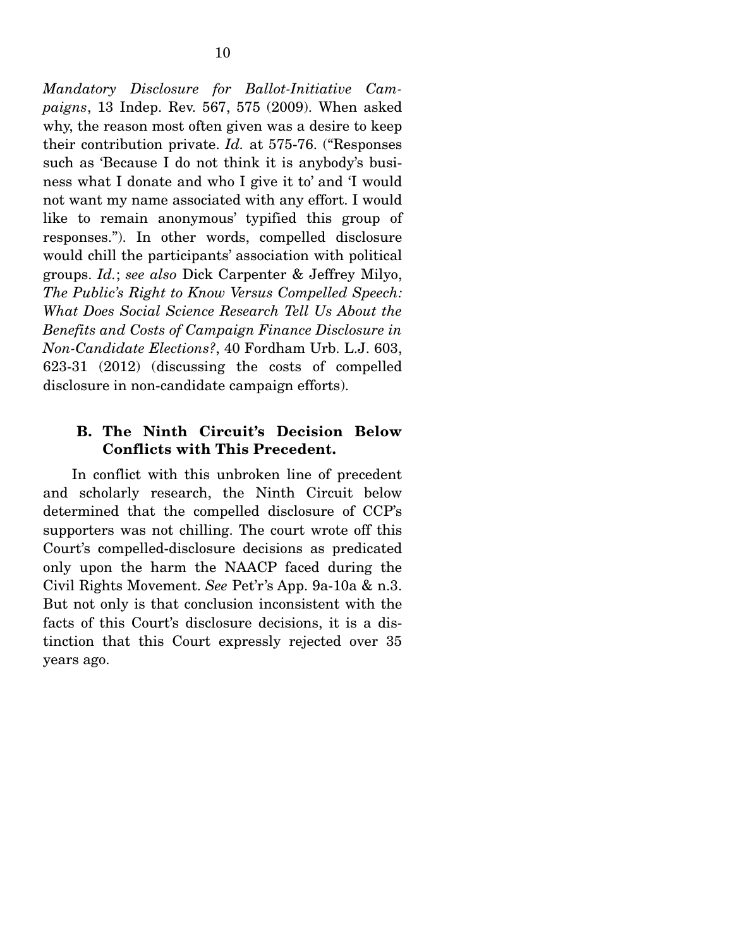*Mandatory Disclosure for Ballot-Initiative Campaigns*, 13 Indep. Rev. 567, 575 (2009). When asked why, the reason most often given was a desire to keep their contribution private. *Id.* at 575-76. ("Responses such as 'Because I do not think it is anybody's business what I donate and who I give it to' and 'I would not want my name associated with any effort. I would like to remain anonymous' typified this group of responses."). In other words, compelled disclosure would chill the participants' association with political groups. *Id.*; *see also* Dick Carpenter & Jeffrey Milyo, *The Public's Right to Know Versus Compelled Speech: What Does Social Science Research Tell Us About the Benefits and Costs of Campaign Finance Disclosure in Non-Candidate Elections?*, 40 Fordham Urb. L.J. 603, 623-31 (2012) (discussing the costs of compelled disclosure in non-candidate campaign efforts).

### **B. The Ninth Circuit's Decision Below Conflicts with This Precedent.**

 In conflict with this unbroken line of precedent and scholarly research, the Ninth Circuit below determined that the compelled disclosure of CCP's supporters was not chilling. The court wrote off this Court's compelled-disclosure decisions as predicated only upon the harm the NAACP faced during the Civil Rights Movement. *See* Pet'r's App. 9a-10a & n.3. But not only is that conclusion inconsistent with the facts of this Court's disclosure decisions, it is a distinction that this Court expressly rejected over 35 years ago.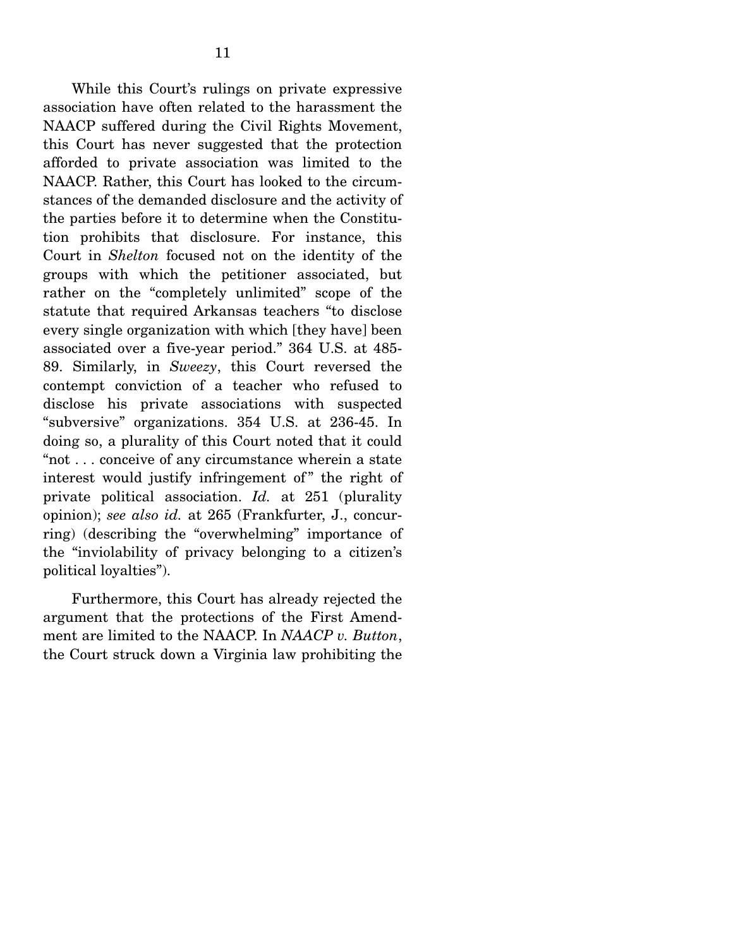While this Court's rulings on private expressive association have often related to the harassment the NAACP suffered during the Civil Rights Movement, this Court has never suggested that the protection afforded to private association was limited to the NAACP. Rather, this Court has looked to the circumstances of the demanded disclosure and the activity of the parties before it to determine when the Constitution prohibits that disclosure. For instance, this Court in *Shelton* focused not on the identity of the groups with which the petitioner associated, but rather on the "completely unlimited" scope of the statute that required Arkansas teachers "to disclose every single organization with which [they have] been associated over a five-year period." 364 U.S. at 485- 89. Similarly, in *Sweezy*, this Court reversed the contempt conviction of a teacher who refused to disclose his private associations with suspected "subversive" organizations. 354 U.S. at 236-45. In doing so, a plurality of this Court noted that it could "not . . . conceive of any circumstance wherein a state interest would justify infringement of" the right of private political association. *Id.* at 251 (plurality opinion); *see also id.* at 265 (Frankfurter, J., concurring) (describing the "overwhelming" importance of the "inviolability of privacy belonging to a citizen's political loyalties").

 Furthermore, this Court has already rejected the argument that the protections of the First Amendment are limited to the NAACP. In *NAACP v. Button*, the Court struck down a Virginia law prohibiting the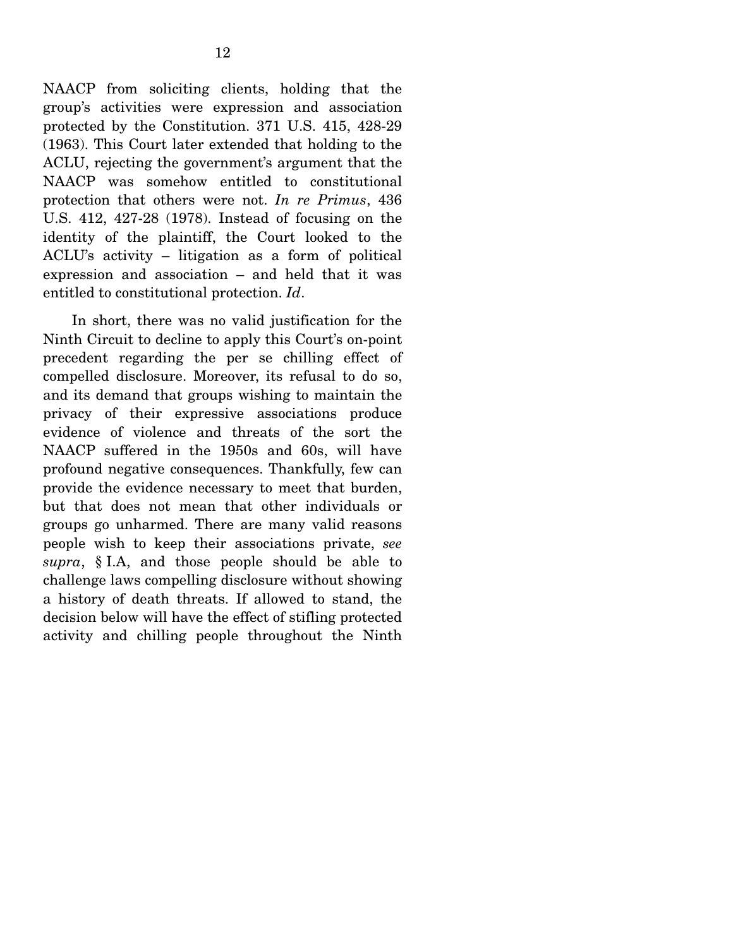NAACP from soliciting clients, holding that the group's activities were expression and association protected by the Constitution. 371 U.S. 415, 428-29 (1963). This Court later extended that holding to the ACLU, rejecting the government's argument that the NAACP was somehow entitled to constitutional protection that others were not. *In re Primus*, 436 U.S. 412, 427-28 (1978). Instead of focusing on the identity of the plaintiff, the Court looked to the ACLU's activity – litigation as a form of political expression and association – and held that it was entitled to constitutional protection. *Id*.

 In short, there was no valid justification for the Ninth Circuit to decline to apply this Court's on-point precedent regarding the per se chilling effect of compelled disclosure. Moreover, its refusal to do so, and its demand that groups wishing to maintain the privacy of their expressive associations produce evidence of violence and threats of the sort the NAACP suffered in the 1950s and 60s, will have profound negative consequences. Thankfully, few can provide the evidence necessary to meet that burden, but that does not mean that other individuals or groups go unharmed. There are many valid reasons people wish to keep their associations private, *see supra*, § I.A, and those people should be able to challenge laws compelling disclosure without showing a history of death threats. If allowed to stand, the decision below will have the effect of stifling protected activity and chilling people throughout the Ninth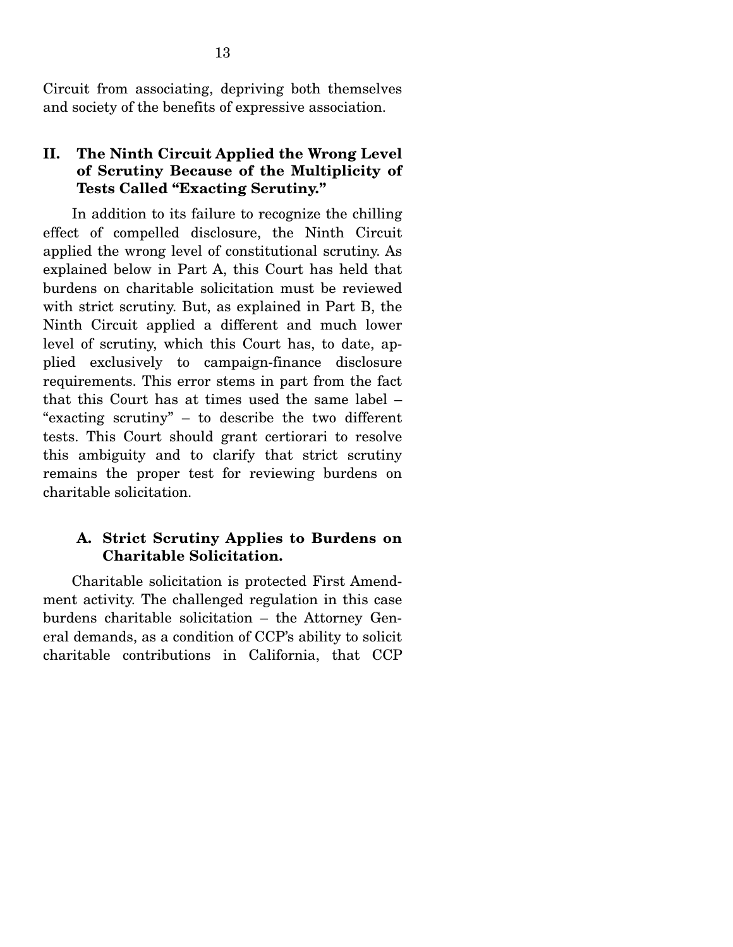Circuit from associating, depriving both themselves and society of the benefits of expressive association.

### **II. The Ninth Circuit Applied the Wrong Level of Scrutiny Because of the Multiplicity of Tests Called "Exacting Scrutiny."**

 In addition to its failure to recognize the chilling effect of compelled disclosure, the Ninth Circuit applied the wrong level of constitutional scrutiny. As explained below in Part A, this Court has held that burdens on charitable solicitation must be reviewed with strict scrutiny. But, as explained in Part B, the Ninth Circuit applied a different and much lower level of scrutiny, which this Court has, to date, applied exclusively to campaign-finance disclosure requirements. This error stems in part from the fact that this Court has at times used the same label – "exacting scrutiny" – to describe the two different tests. This Court should grant certiorari to resolve this ambiguity and to clarify that strict scrutiny remains the proper test for reviewing burdens on charitable solicitation.

## **A. Strict Scrutiny Applies to Burdens on Charitable Solicitation.**

 Charitable solicitation is protected First Amendment activity. The challenged regulation in this case burdens charitable solicitation – the Attorney General demands, as a condition of CCP's ability to solicit charitable contributions in California, that CCP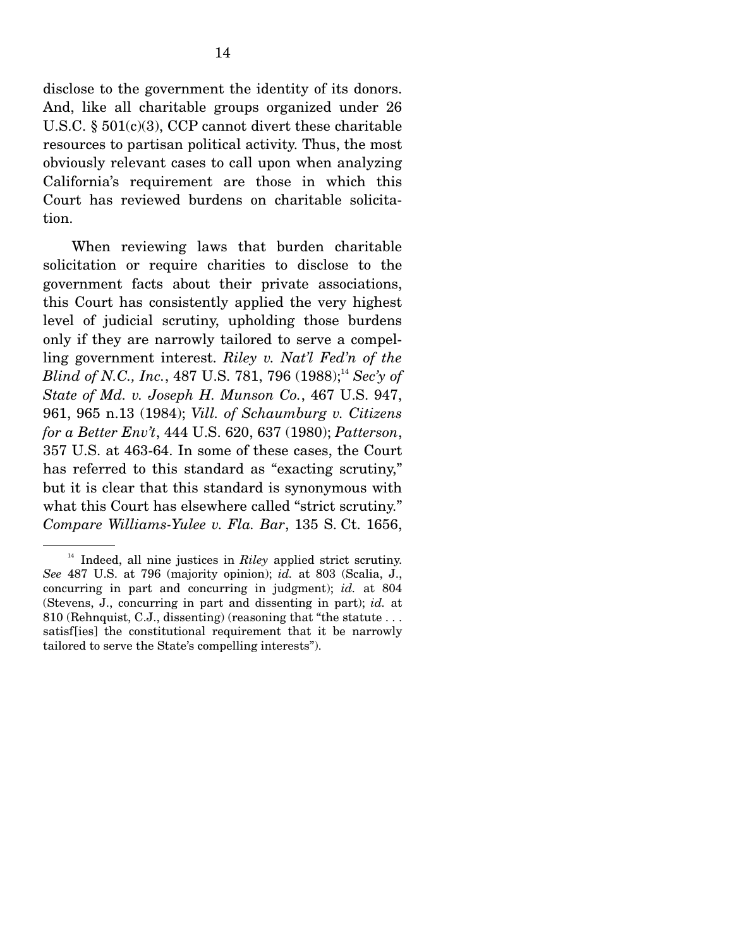disclose to the government the identity of its donors. And, like all charitable groups organized under 26 U.S.C. § 501(c)(3), CCP cannot divert these charitable resources to partisan political activity. Thus, the most obviously relevant cases to call upon when analyzing California's requirement are those in which this Court has reviewed burdens on charitable solicitation.

 When reviewing laws that burden charitable solicitation or require charities to disclose to the government facts about their private associations, this Court has consistently applied the very highest level of judicial scrutiny, upholding those burdens only if they are narrowly tailored to serve a compelling government interest. *Riley v. Nat'l Fed'n of the Blind of N.C., Inc.,* 487 U.S. 781, 796  $(1988)^{14}$  *Sec'y of State of Md. v. Joseph H. Munson Co.*, 467 U.S. 947, 961, 965 n.13 (1984); *Vill. of Schaumburg v. Citizens for a Better Env't*, 444 U.S. 620, 637 (1980); *Patterson*, 357 U.S. at 463-64. In some of these cases, the Court has referred to this standard as "exacting scrutiny," but it is clear that this standard is synonymous with what this Court has elsewhere called "strict scrutiny." *Compare Williams-Yulee v. Fla. Bar*, 135 S. Ct. 1656,

<sup>&</sup>lt;sup>14</sup> Indeed, all nine justices in *Riley* applied strict scrutiny. *See* 487 U.S. at 796 (majority opinion); *id.* at 803 (Scalia, J., concurring in part and concurring in judgment); *id.* at 804 (Stevens, J., concurring in part and dissenting in part); *id.* at 810 (Rehnquist, C.J., dissenting) (reasoning that "the statute ... satisf[ies] the constitutional requirement that it be narrowly tailored to serve the State's compelling interests").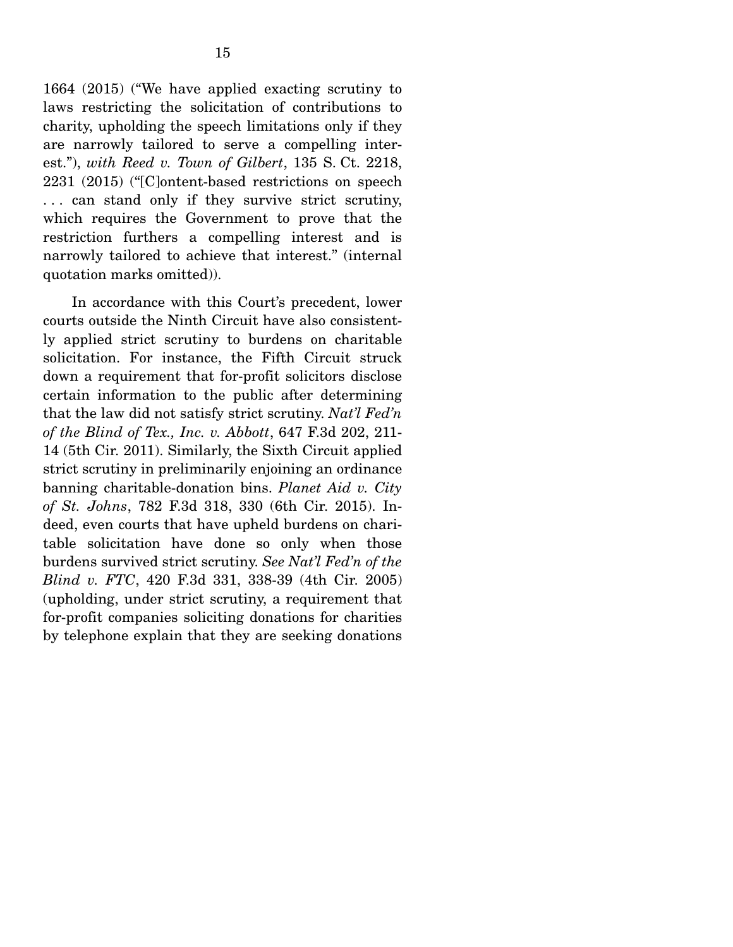1664 (2015) ("We have applied exacting scrutiny to laws restricting the solicitation of contributions to charity, upholding the speech limitations only if they are narrowly tailored to serve a compelling interest."), *with Reed v. Town of Gilbert*, 135 S. Ct. 2218, 2231 (2015) ("[C]ontent-based restrictions on speech . . . can stand only if they survive strict scrutiny, which requires the Government to prove that the restriction furthers a compelling interest and is narrowly tailored to achieve that interest." (internal quotation marks omitted)).

 In accordance with this Court's precedent, lower courts outside the Ninth Circuit have also consistently applied strict scrutiny to burdens on charitable solicitation. For instance, the Fifth Circuit struck down a requirement that for-profit solicitors disclose certain information to the public after determining that the law did not satisfy strict scrutiny. *Nat'l Fed'n of the Blind of Tex., Inc. v. Abbott*, 647 F.3d 202, 211- 14 (5th Cir. 2011). Similarly, the Sixth Circuit applied strict scrutiny in preliminarily enjoining an ordinance banning charitable-donation bins. *Planet Aid v. City of St. Johns*, 782 F.3d 318, 330 (6th Cir. 2015). Indeed, even courts that have upheld burdens on charitable solicitation have done so only when those burdens survived strict scrutiny. *See Nat'l Fed'n of the Blind v. FTC*, 420 F.3d 331, 338-39 (4th Cir. 2005) (upholding, under strict scrutiny, a requirement that for-profit companies soliciting donations for charities by telephone explain that they are seeking donations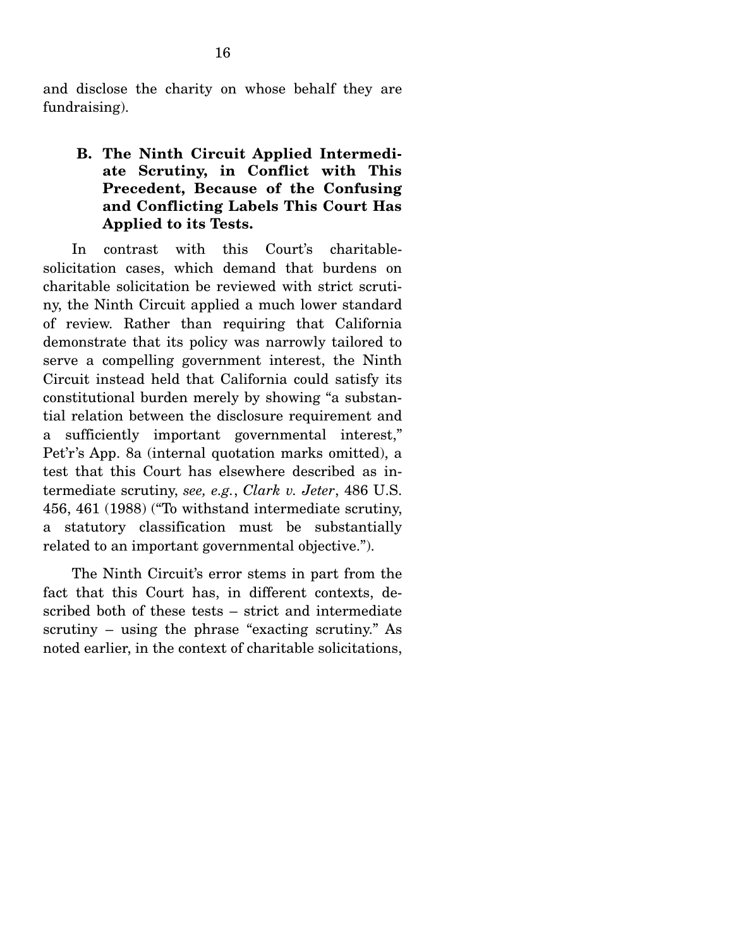and disclose the charity on whose behalf they are fundraising).

## **B. The Ninth Circuit Applied Intermediate Scrutiny, in Conflict with This Precedent, Because of the Confusing and Conflicting Labels This Court Has Applied to its Tests.**

 In contrast with this Court's charitablesolicitation cases, which demand that burdens on charitable solicitation be reviewed with strict scrutiny, the Ninth Circuit applied a much lower standard of review. Rather than requiring that California demonstrate that its policy was narrowly tailored to serve a compelling government interest, the Ninth Circuit instead held that California could satisfy its constitutional burden merely by showing "a substantial relation between the disclosure requirement and a sufficiently important governmental interest," Pet'r's App. 8a (internal quotation marks omitted), a test that this Court has elsewhere described as intermediate scrutiny, *see, e.g.*, *Clark v. Jeter*, 486 U.S. 456, 461 (1988) ("To withstand intermediate scrutiny, a statutory classification must be substantially related to an important governmental objective.").

 The Ninth Circuit's error stems in part from the fact that this Court has, in different contexts, described both of these tests – strict and intermediate scrutiny – using the phrase "exacting scrutiny." As noted earlier, in the context of charitable solicitations,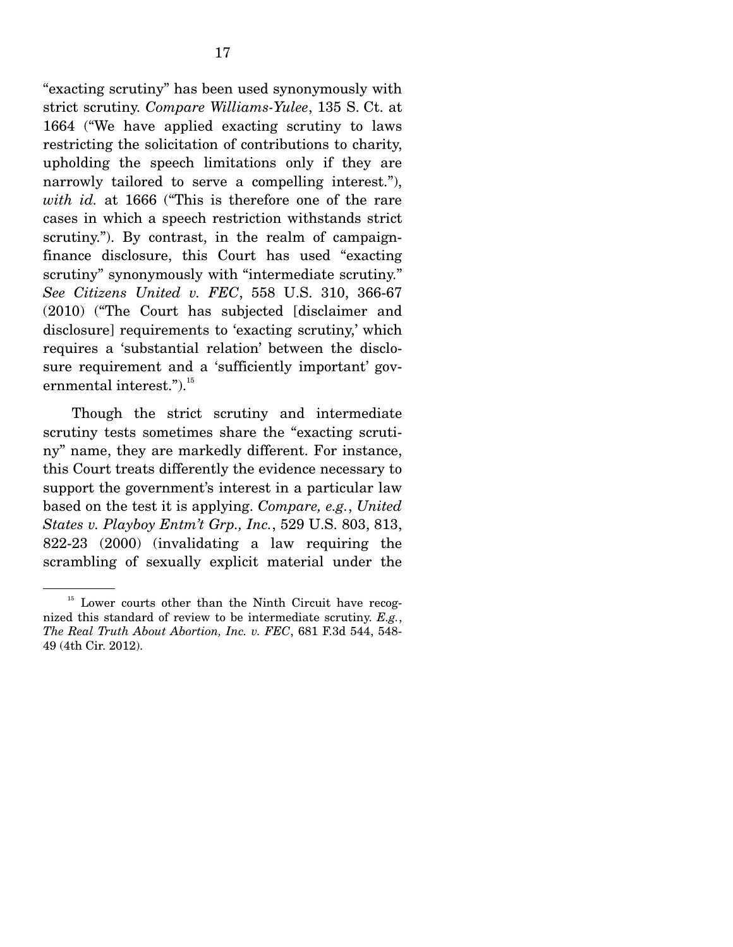"exacting scrutiny" has been used synonymously with strict scrutiny. *Compare Williams-Yulee*, 135 S. Ct. at 1664 ("We have applied exacting scrutiny to laws restricting the solicitation of contributions to charity, upholding the speech limitations only if they are narrowly tailored to serve a compelling interest."), *with id.* at 1666 ("This is therefore one of the rare cases in which a speech restriction withstands strict scrutiny."). By contrast, in the realm of campaignfinance disclosure, this Court has used "exacting scrutiny" synonymously with "intermediate scrutiny." *See Citizens United v. FEC*, 558 U.S. 310, 366-67 (2010) ("The Court has subjected [disclaimer and disclosure] requirements to 'exacting scrutiny,' which requires a 'substantial relation' between the disclosure requirement and a 'sufficiently important' governmental interest.").<sup>15</sup>

 Though the strict scrutiny and intermediate scrutiny tests sometimes share the "exacting scrutiny" name, they are markedly different. For instance, this Court treats differently the evidence necessary to support the government's interest in a particular law based on the test it is applying. *Compare, e.g.*, *United States v. Playboy Entm't Grp., Inc.*, 529 U.S. 803, 813, 822-23 (2000) (invalidating a law requiring the scrambling of sexually explicit material under the

<sup>&</sup>lt;sup>15</sup> Lower courts other than the Ninth Circuit have recognized this standard of review to be intermediate scrutiny. *E.g.*, *The Real Truth About Abortion, Inc. v. FEC*, 681 F.3d 544, 548- 49 (4th Cir. 2012).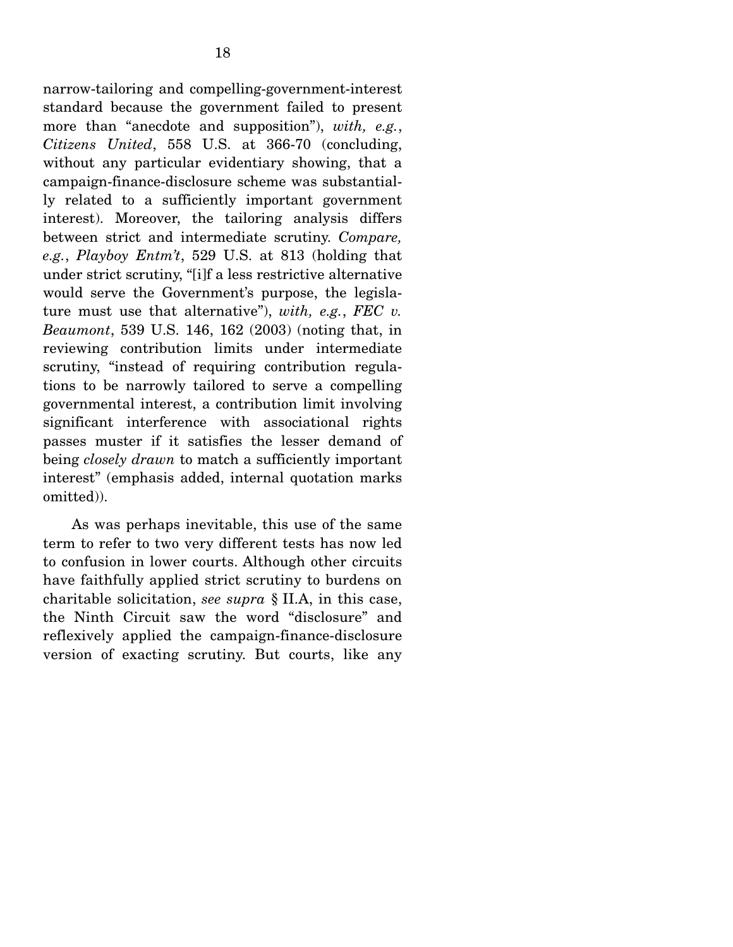narrow-tailoring and compelling-government-interest standard because the government failed to present more than "anecdote and supposition"), *with, e.g.*, *Citizens United*, 558 U.S. at 366-70 (concluding, without any particular evidentiary showing, that a campaign-finance-disclosure scheme was substantially related to a sufficiently important government interest). Moreover, the tailoring analysis differs between strict and intermediate scrutiny. *Compare, e.g.*, *Playboy Entm't*, 529 U.S. at 813 (holding that under strict scrutiny, "[i]f a less restrictive alternative would serve the Government's purpose, the legislature must use that alternative"), *with, e.g.*, *FEC v. Beaumont*, 539 U.S. 146, 162 (2003) (noting that, in reviewing contribution limits under intermediate scrutiny, "instead of requiring contribution regulations to be narrowly tailored to serve a compelling governmental interest, a contribution limit involving significant interference with associational rights passes muster if it satisfies the lesser demand of being *closely drawn* to match a sufficiently important interest" (emphasis added, internal quotation marks omitted)).

 As was perhaps inevitable, this use of the same term to refer to two very different tests has now led to confusion in lower courts. Although other circuits have faithfully applied strict scrutiny to burdens on charitable solicitation, *see supra* § II.A, in this case, the Ninth Circuit saw the word "disclosure" and reflexively applied the campaign-finance-disclosure version of exacting scrutiny. But courts, like any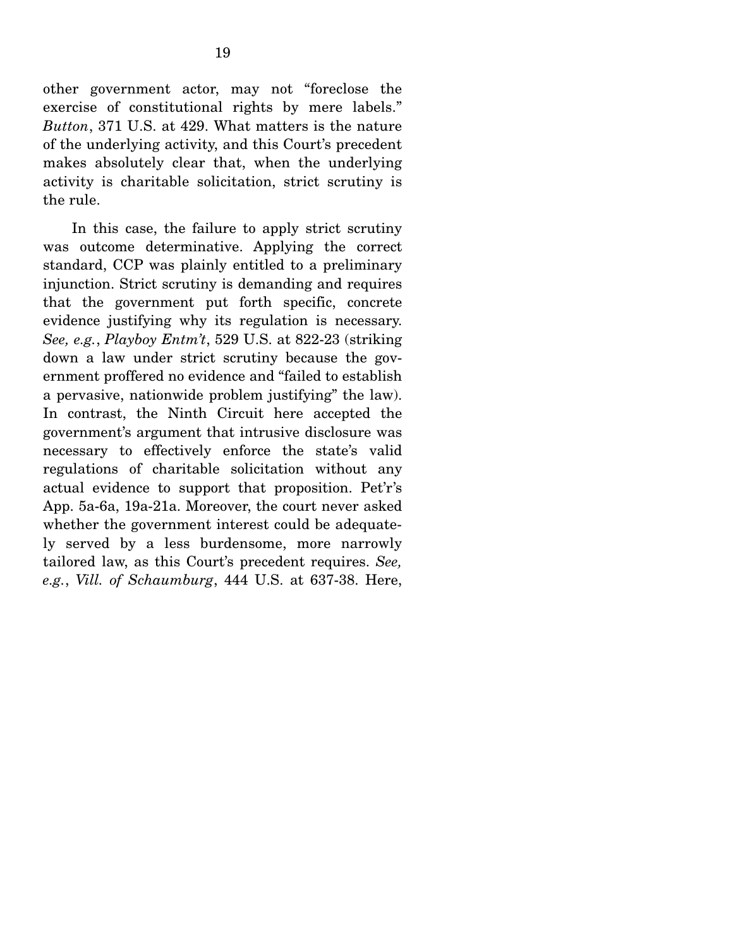other government actor, may not "foreclose the exercise of constitutional rights by mere labels." *Button*, 371 U.S. at 429. What matters is the nature of the underlying activity, and this Court's precedent makes absolutely clear that, when the underlying activity is charitable solicitation, strict scrutiny is the rule.

 In this case, the failure to apply strict scrutiny was outcome determinative. Applying the correct standard, CCP was plainly entitled to a preliminary injunction. Strict scrutiny is demanding and requires that the government put forth specific, concrete evidence justifying why its regulation is necessary. *See, e.g.*, *Playboy Entm't*, 529 U.S. at 822-23 (striking down a law under strict scrutiny because the government proffered no evidence and "failed to establish a pervasive, nationwide problem justifying" the law). In contrast, the Ninth Circuit here accepted the government's argument that intrusive disclosure was necessary to effectively enforce the state's valid regulations of charitable solicitation without any actual evidence to support that proposition. Pet'r's App. 5a-6a, 19a-21a. Moreover, the court never asked whether the government interest could be adequately served by a less burdensome, more narrowly tailored law, as this Court's precedent requires. *See, e.g.*, *Vill. of Schaumburg*, 444 U.S. at 637-38. Here,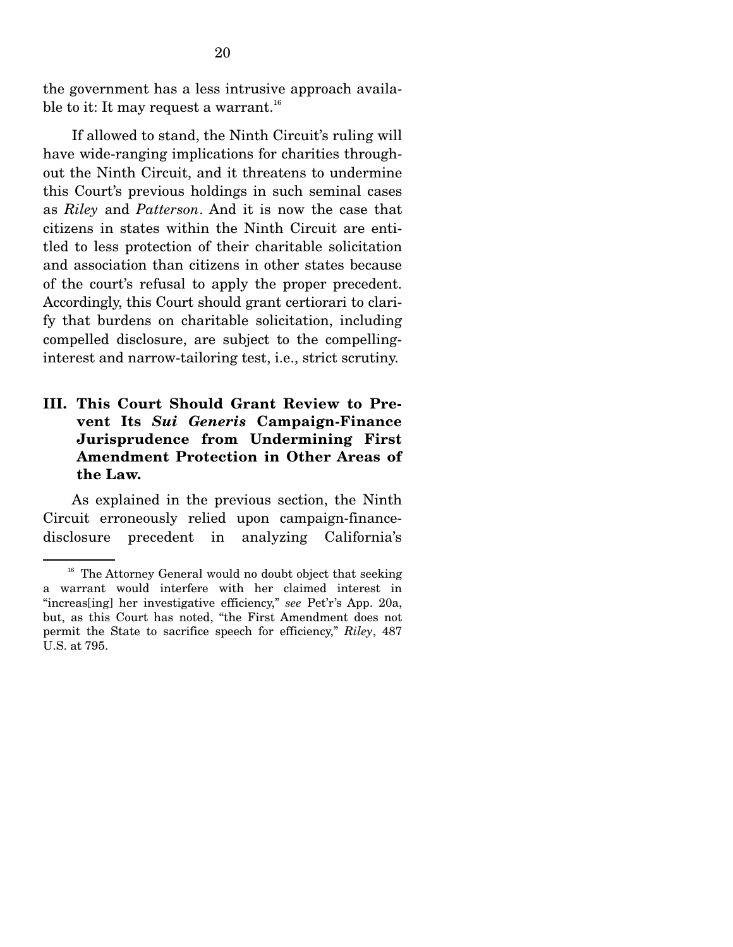the government has a less intrusive approach available to it: It may request a warrant.<sup>16</sup>

 If allowed to stand, the Ninth Circuit's ruling will have wide-ranging implications for charities throughout the Ninth Circuit, and it threatens to undermine this Court's previous holdings in such seminal cases as *Riley* and *Patterson*. And it is now the case that citizens in states within the Ninth Circuit are entitled to less protection of their charitable solicitation and association than citizens in other states because of the court's refusal to apply the proper precedent. Accordingly, this Court should grant certiorari to clarify that burdens on charitable solicitation, including compelled disclosure, are subject to the compellinginterest and narrow-tailoring test, i.e., strict scrutiny.

## **III. This Court Should Grant Review to Prevent Its** *Sui Generis* **Campaign-Finance Jurisprudence from Undermining First Amendment Protection in Other Areas of the Law.**

 As explained in the previous section, the Ninth Circuit erroneously relied upon campaign-financedisclosure precedent in analyzing California's

<sup>&</sup>lt;sup>16</sup> The Attorney General would no doubt object that seeking a warrant would interfere with her claimed interest in "increas[ing] her investigative efficiency," *see* Pet'r's App. 20a, but, as this Court has noted, "the First Amendment does not permit the State to sacrifice speech for efficiency," *Riley*, 487 U.S. at 795.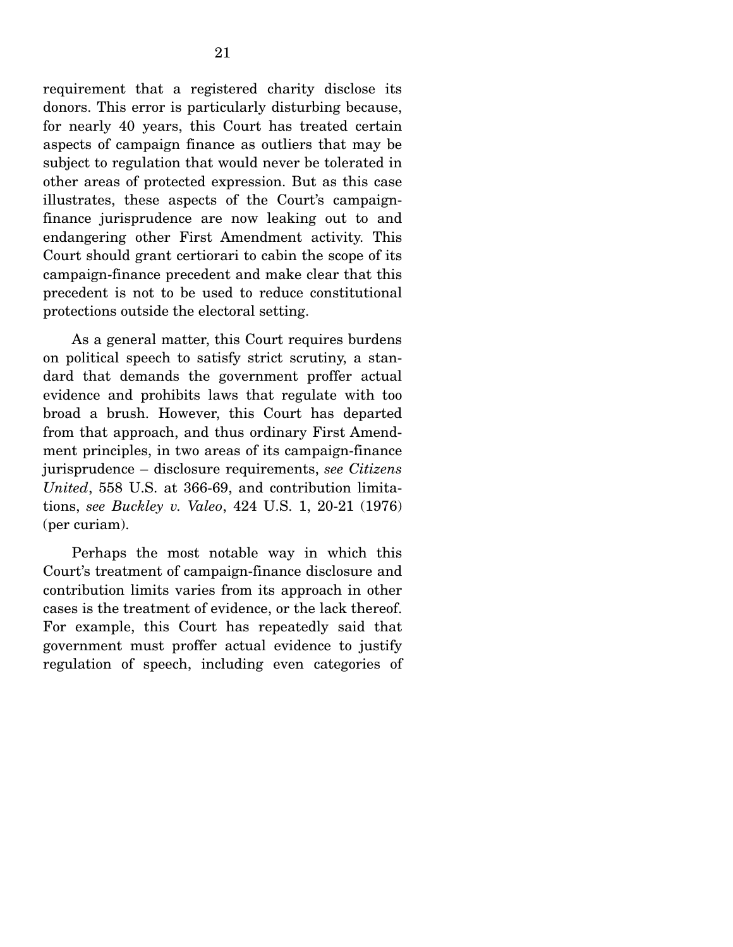requirement that a registered charity disclose its donors. This error is particularly disturbing because, for nearly 40 years, this Court has treated certain aspects of campaign finance as outliers that may be subject to regulation that would never be tolerated in other areas of protected expression. But as this case illustrates, these aspects of the Court's campaignfinance jurisprudence are now leaking out to and endangering other First Amendment activity. This Court should grant certiorari to cabin the scope of its campaign-finance precedent and make clear that this precedent is not to be used to reduce constitutional protections outside the electoral setting.

 As a general matter, this Court requires burdens on political speech to satisfy strict scrutiny, a standard that demands the government proffer actual evidence and prohibits laws that regulate with too broad a brush. However, this Court has departed from that approach, and thus ordinary First Amendment principles, in two areas of its campaign-finance jurisprudence – disclosure requirements, *see Citizens United*, 558 U.S. at 366-69, and contribution limitations, *see Buckley v. Valeo*, 424 U.S. 1, 20-21 (1976) (per curiam).

 Perhaps the most notable way in which this Court's treatment of campaign-finance disclosure and contribution limits varies from its approach in other cases is the treatment of evidence, or the lack thereof. For example, this Court has repeatedly said that government must proffer actual evidence to justify regulation of speech, including even categories of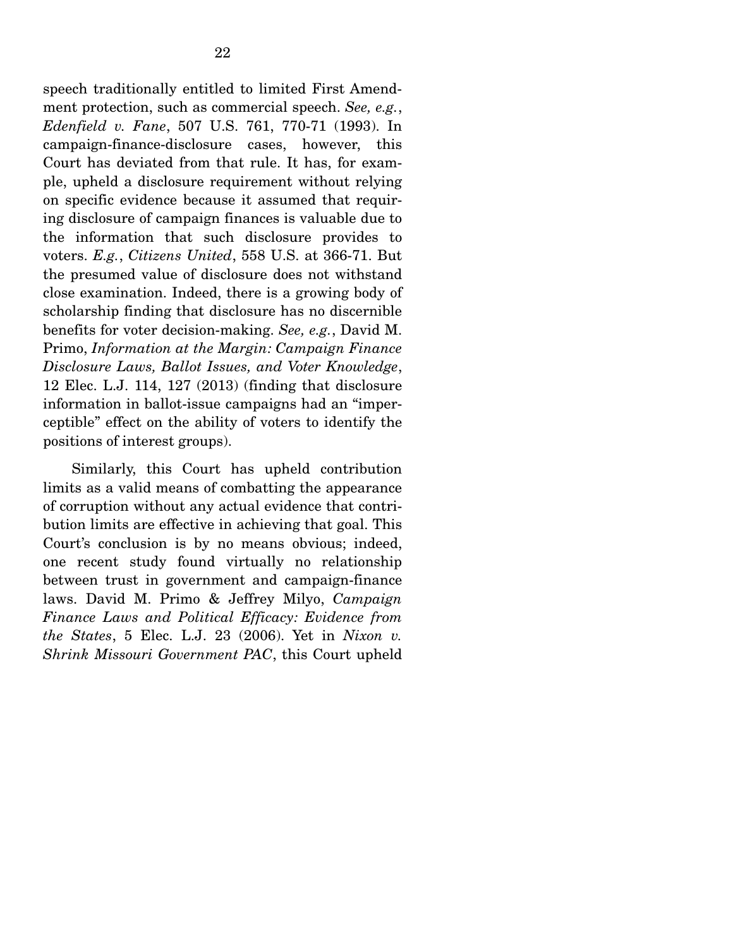speech traditionally entitled to limited First Amendment protection, such as commercial speech. *See, e.g.*, *Edenfield v. Fane*, 507 U.S. 761, 770-71 (1993). In campaign-finance-disclosure cases, however, this Court has deviated from that rule. It has, for example, upheld a disclosure requirement without relying on specific evidence because it assumed that requiring disclosure of campaign finances is valuable due to the information that such disclosure provides to voters. *E.g.*, *Citizens United*, 558 U.S. at 366-71. But the presumed value of disclosure does not withstand close examination. Indeed, there is a growing body of scholarship finding that disclosure has no discernible benefits for voter decision-making. *See, e.g.*, David M. Primo, *Information at the Margin: Campaign Finance Disclosure Laws, Ballot Issues, and Voter Knowledge*, 12 Elec. L.J. 114, 127 (2013) (finding that disclosure information in ballot-issue campaigns had an "imperceptible" effect on the ability of voters to identify the positions of interest groups).

 Similarly, this Court has upheld contribution limits as a valid means of combatting the appearance of corruption without any actual evidence that contribution limits are effective in achieving that goal. This Court's conclusion is by no means obvious; indeed, one recent study found virtually no relationship between trust in government and campaign-finance laws. David M. Primo & Jeffrey Milyo, *Campaign Finance Laws and Political Efficacy: Evidence from the States*, 5 Elec. L.J. 23 (2006). Yet in *Nixon v. Shrink Missouri Government PAC*, this Court upheld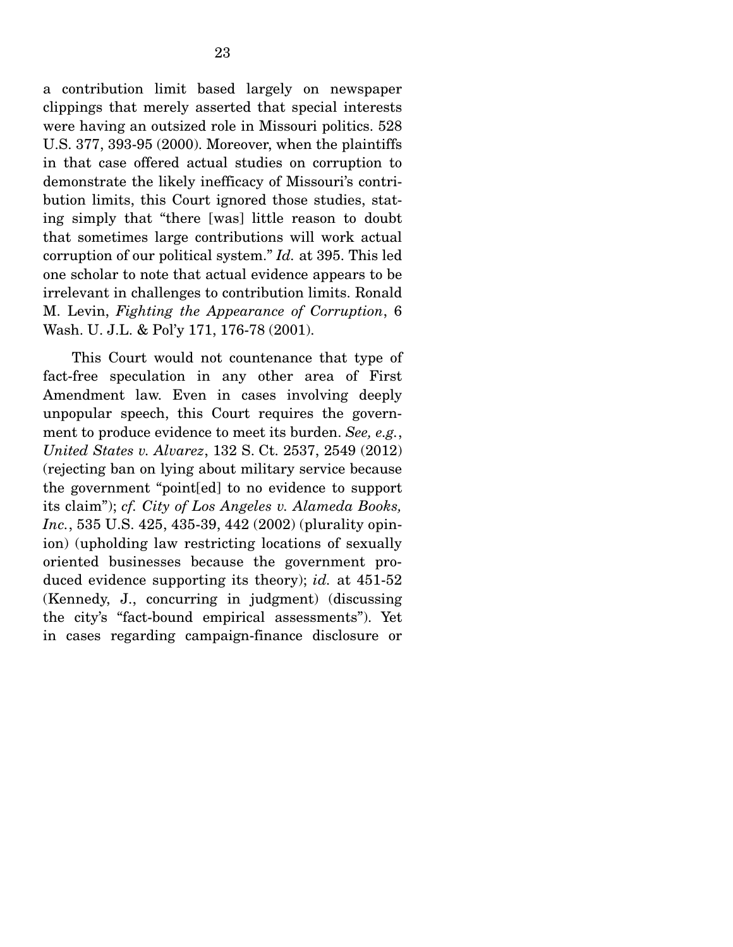a contribution limit based largely on newspaper clippings that merely asserted that special interests were having an outsized role in Missouri politics. 528 U.S. 377, 393-95 (2000). Moreover, when the plaintiffs in that case offered actual studies on corruption to demonstrate the likely inefficacy of Missouri's contribution limits, this Court ignored those studies, stating simply that "there [was] little reason to doubt that sometimes large contributions will work actual corruption of our political system." *Id.* at 395. This led one scholar to note that actual evidence appears to be irrelevant in challenges to contribution limits. Ronald M. Levin, *Fighting the Appearance of Corruption*, 6 Wash. U. J.L. & Pol'y 171, 176-78 (2001).

 This Court would not countenance that type of fact-free speculation in any other area of First Amendment law. Even in cases involving deeply unpopular speech, this Court requires the government to produce evidence to meet its burden. *See, e.g.*, *United States v. Alvarez*, 132 S. Ct. 2537, 2549 (2012) (rejecting ban on lying about military service because the government "point[ed] to no evidence to support its claim"); *cf. City of Los Angeles v. Alameda Books, Inc.*, 535 U.S. 425, 435-39, 442 (2002) (plurality opinion) (upholding law restricting locations of sexually oriented businesses because the government produced evidence supporting its theory); *id.* at 451-52 (Kennedy, J., concurring in judgment) (discussing the city's "fact-bound empirical assessments"). Yet in cases regarding campaign-finance disclosure or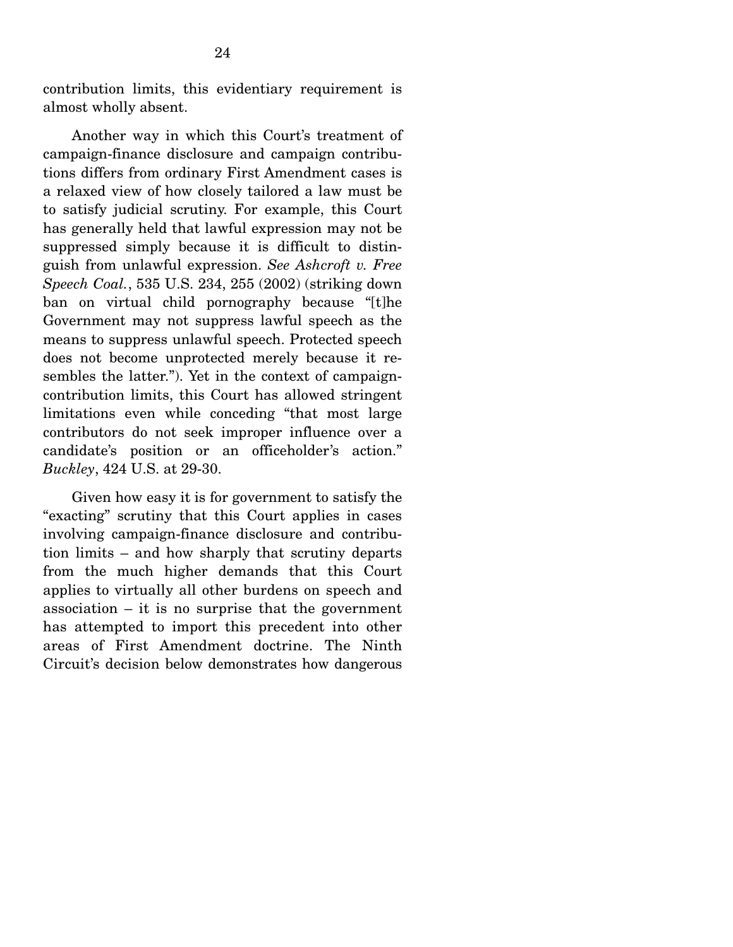contribution limits, this evidentiary requirement is almost wholly absent.

 Another way in which this Court's treatment of campaign-finance disclosure and campaign contributions differs from ordinary First Amendment cases is a relaxed view of how closely tailored a law must be to satisfy judicial scrutiny. For example, this Court has generally held that lawful expression may not be suppressed simply because it is difficult to distinguish from unlawful expression. *See Ashcroft v. Free Speech Coal.*, 535 U.S. 234, 255 (2002) (striking down ban on virtual child pornography because "[t]he Government may not suppress lawful speech as the means to suppress unlawful speech. Protected speech does not become unprotected merely because it resembles the latter."). Yet in the context of campaigncontribution limits, this Court has allowed stringent limitations even while conceding "that most large contributors do not seek improper influence over a candidate's position or an officeholder's action." *Buckley*, 424 U.S. at 29-30.

 Given how easy it is for government to satisfy the "exacting" scrutiny that this Court applies in cases involving campaign-finance disclosure and contribution limits – and how sharply that scrutiny departs from the much higher demands that this Court applies to virtually all other burdens on speech and association – it is no surprise that the government has attempted to import this precedent into other areas of First Amendment doctrine. The Ninth Circuit's decision below demonstrates how dangerous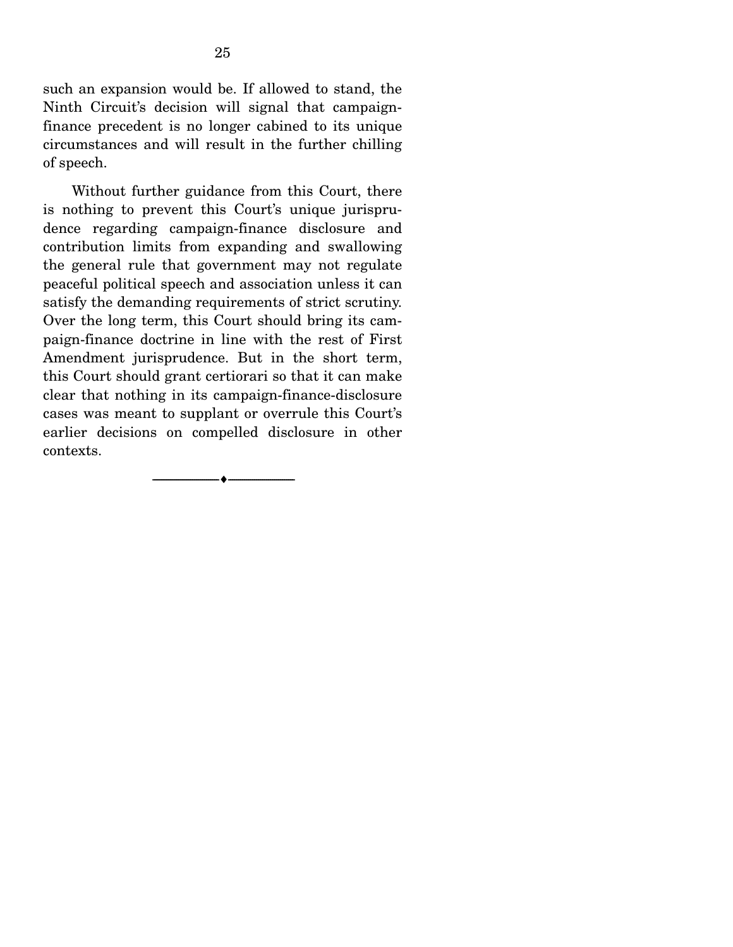such an expansion would be. If allowed to stand, the Ninth Circuit's decision will signal that campaignfinance precedent is no longer cabined to its unique circumstances and will result in the further chilling of speech.

 Without further guidance from this Court, there is nothing to prevent this Court's unique jurisprudence regarding campaign-finance disclosure and contribution limits from expanding and swallowing the general rule that government may not regulate peaceful political speech and association unless it can satisfy the demanding requirements of strict scrutiny. Over the long term, this Court should bring its campaign-finance doctrine in line with the rest of First Amendment jurisprudence. But in the short term, this Court should grant certiorari so that it can make clear that nothing in its campaign-finance-disclosure cases was meant to supplant or overrule this Court's earlier decisions on compelled disclosure in other contexts.

--------------------------------- ---------------------------------